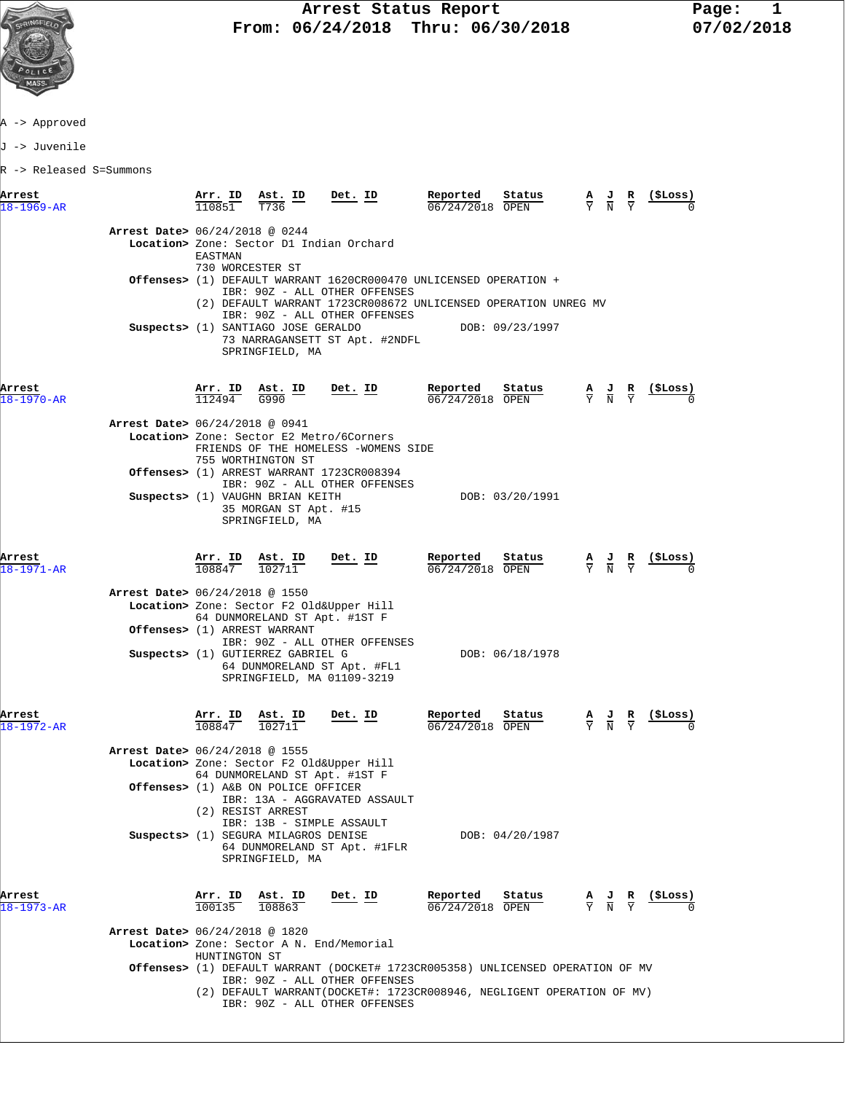

A -> Approved

J -> Juvenile

R -> Released S=Summons

| Arrest<br>$18 - 1969 - AR$     | Arr. ID<br>110851              | Ast. ID<br>T736                                                                      | Det. ID                                                                                    | Reported<br>Status<br>06/24/2018 OPEN                                                                                               | $\frac{\mathbf{A}}{\mathbf{Y}}$ $\frac{\mathbf{J}}{\mathbf{N}}$ |                                                                                                 | R | (SLoss)                                                       |
|--------------------------------|--------------------------------|--------------------------------------------------------------------------------------|--------------------------------------------------------------------------------------------|-------------------------------------------------------------------------------------------------------------------------------------|-----------------------------------------------------------------|-------------------------------------------------------------------------------------------------|---|---------------------------------------------------------------|
| Arrest Date> 06/24/2018 @ 0244 | EASTMAN<br>730 WORCESTER ST    |                                                                                      | Location> Zone: Sector D1 Indian Orchard                                                   |                                                                                                                                     |                                                                 |                                                                                                 |   |                                                               |
|                                |                                |                                                                                      | IBR: 90Z - ALL OTHER OFFENSES                                                              | Offenses> (1) DEFAULT WARRANT 1620CR000470 UNLICENSED OPERATION +<br>(2) DEFAULT WARRANT 1723CR008672 UNLICENSED OPERATION UNREG MV |                                                                 |                                                                                                 |   |                                                               |
|                                |                                | Suspects> (1) SANTIAGO JOSE GERALDO<br>SPRINGFIELD, MA                               | IBR: 90Z - ALL OTHER OFFENSES<br>73 NARRAGANSETT ST Apt. #2NDFL                            | DOB: 09/23/1997                                                                                                                     |                                                                 |                                                                                                 |   |                                                               |
| Arrest<br>18-1970-AR           |                                | $\frac{\text{Arr.}}{112494}$ $\frac{\text{Ast.}}{G990}$ $\frac{\text{ID}}{G}$        | Det. ID                                                                                    | Reported<br>Status<br>06/24/2018 OPEN                                                                                               |                                                                 | $\frac{\mathbf{A}}{\mathbf{Y}}$ $\frac{\mathbf{J}}{\mathbf{N}}$ $\frac{\mathbf{R}}{\mathbf{Y}}$ |   | <u>(SLos</u> s)                                               |
| Arrest Date> 06/24/2018 @ 0941 |                                |                                                                                      |                                                                                            |                                                                                                                                     |                                                                 |                                                                                                 |   |                                                               |
|                                |                                | 755 WORTHINGTON ST                                                                   | Location> Zone: Sector E2 Metro/6Corners<br>FRIENDS OF THE HOMELESS -WOMENS SIDE           |                                                                                                                                     |                                                                 |                                                                                                 |   |                                                               |
|                                |                                |                                                                                      | Offenses> (1) ARREST WARRANT 1723CR008394                                                  |                                                                                                                                     |                                                                 |                                                                                                 |   |                                                               |
|                                |                                | Suspects> (1) VAUGHN BRIAN KEITH<br>35 MORGAN ST Apt. #15<br>SPRINGFIELD, MA         | IBR: 90Z - ALL OTHER OFFENSES                                                              | DOB: 03/20/1991                                                                                                                     |                                                                 |                                                                                                 |   |                                                               |
| Arrest<br>$18 - 1971 - AR$     | $\frac{\texttt{Arr.}}{108847}$ | <u>Ast. ID</u><br>102711                                                             | <u>Det. ID</u>                                                                             | Reported<br>Status<br>06/24/2018 OPEN                                                                                               |                                                                 | $\frac{\mathbf{A}}{\mathbf{Y}}$ $\frac{\mathbf{J}}{\mathbf{N}}$ $\frac{\mathbf{R}}{\mathbf{Y}}$ |   | <u>(ŞLoss)</u>                                                |
| Arrest Date> 06/24/2018 @ 1550 |                                |                                                                                      |                                                                                            |                                                                                                                                     |                                                                 |                                                                                                 |   |                                                               |
|                                |                                | 64 DUNMORELAND ST Apt. #1ST F                                                        | Location> Zone: Sector F2 Old&Upper Hill                                                   |                                                                                                                                     |                                                                 |                                                                                                 |   |                                                               |
|                                |                                | Offenses> (1) ARREST WARRANT                                                         |                                                                                            |                                                                                                                                     |                                                                 |                                                                                                 |   |                                                               |
|                                |                                | Suspects> (1) GUTIERREZ GABRIEL G                                                    | IBR: 90Z - ALL OTHER OFFENSES<br>64 DUNMORELAND ST Apt. #FL1<br>SPRINGFIELD, MA 01109-3219 | DOB: 06/18/1978                                                                                                                     |                                                                 |                                                                                                 |   |                                                               |
| Arrest<br>$18 - 1972 - AR$     | Arr. ID<br>108847              | <u>Ast. ID</u><br>102711                                                             | <u>Det. ID</u>                                                                             | Reported<br>Status<br>06/24/2018 OPEN                                                                                               |                                                                 | $\frac{A}{Y}$ $\frac{J}{N}$ $\frac{R}{Y}$                                                       |   | <u>(SLoss)</u>                                                |
| Arrest Date> 06/24/2018 @ 1555 |                                |                                                                                      | Location> Zone: Sector F2 Old&Upper Hill                                                   |                                                                                                                                     |                                                                 |                                                                                                 |   |                                                               |
|                                |                                | 64 DUNMORELAND ST Apt. #1ST F                                                        |                                                                                            |                                                                                                                                     |                                                                 |                                                                                                 |   |                                                               |
|                                |                                | <b>Offenses&gt;</b> (1) A&B ON POLICE OFFICER                                        | IBR: 13A - AGGRAVATED ASSAULT                                                              |                                                                                                                                     |                                                                 |                                                                                                 |   |                                                               |
|                                |                                | (2) RESIST ARREST                                                                    |                                                                                            |                                                                                                                                     |                                                                 |                                                                                                 |   |                                                               |
|                                |                                | IBR: 13B - SIMPLE ASSAULT<br>Suspects> (1) SEGURA MILAGROS DENISE<br>SPRINGFIELD, MA | 64 DUNMORELAND ST Apt. #1FLR                                                               | DOB: 04/20/1987                                                                                                                     |                                                                 |                                                                                                 |   |                                                               |
| Arrest<br>$18 - 1973 - AR$     | 100135                         | Arr. ID Ast. ID<br>108863                                                            | Det. ID                                                                                    | Reported<br>Status<br>06/24/2018 OPEN                                                                                               |                                                                 |                                                                                                 |   | $\frac{A}{Y}$ $\frac{J}{N}$ $\frac{R}{Y}$ $\frac{($Loss)}{N}$ |
| Arrest Date> 06/24/2018 @ 1820 |                                |                                                                                      |                                                                                            |                                                                                                                                     |                                                                 |                                                                                                 |   |                                                               |
|                                | HUNTINGTON ST                  |                                                                                      | Location> Zone: Sector A N. End/Memorial                                                   |                                                                                                                                     |                                                                 |                                                                                                 |   |                                                               |
|                                |                                |                                                                                      |                                                                                            | Offenses> (1) DEFAULT WARRANT (DOCKET# 1723CR005358) UNLICENSED OPERATION OF MV                                                     |                                                                 |                                                                                                 |   |                                                               |
|                                |                                |                                                                                      | IBR: 90Z - ALL OTHER OFFENSES<br>IBR: 90Z - ALL OTHER OFFENSES                             | (2) DEFAULT WARRANT (DOCKET#: 1723CR008946, NEGLIGENT OPERATION OF MV)                                                              |                                                                 |                                                                                                 |   |                                                               |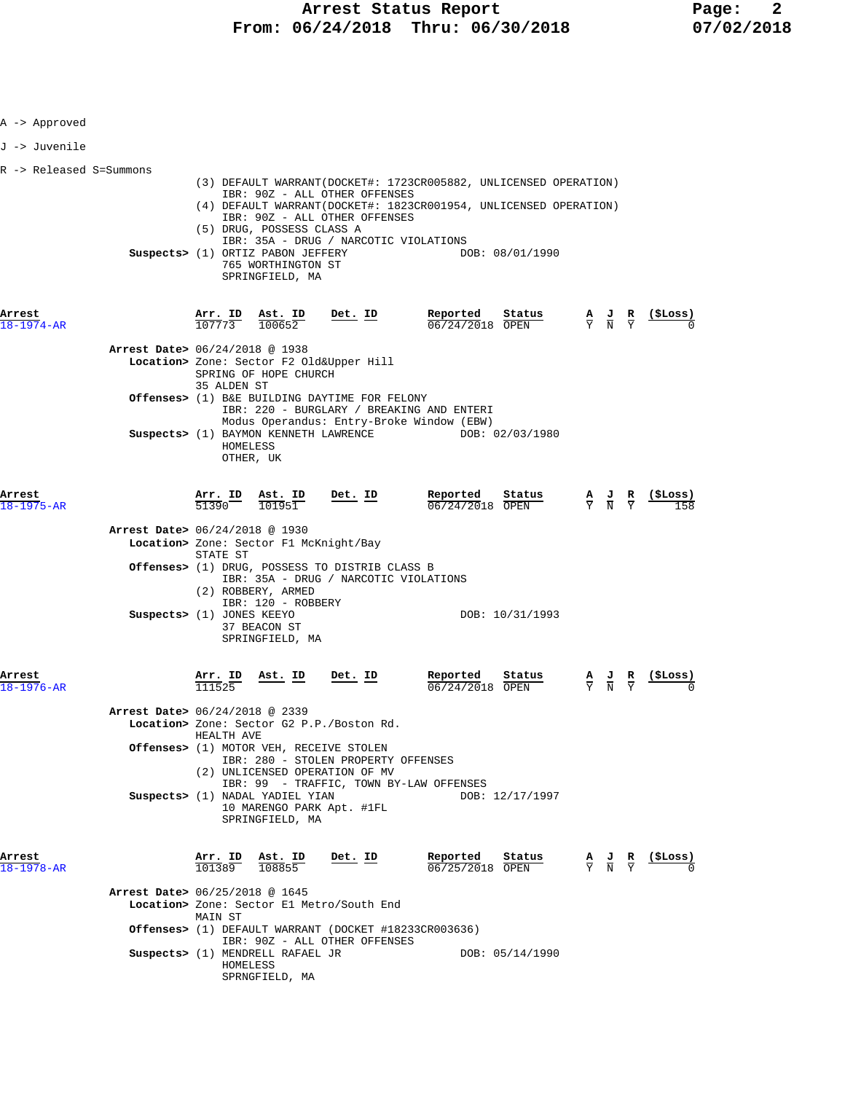| A -> Approved                  |                               |                                                                                                         |                                                                                                                  |                                                                                                                                       |                 |                                           |                                                               |
|--------------------------------|-------------------------------|---------------------------------------------------------------------------------------------------------|------------------------------------------------------------------------------------------------------------------|---------------------------------------------------------------------------------------------------------------------------------------|-----------------|-------------------------------------------|---------------------------------------------------------------|
| J -> Juvenile                  |                               |                                                                                                         |                                                                                                                  |                                                                                                                                       |                 |                                           |                                                               |
| R -> Released S=Summons        |                               | (5) DRUG, POSSESS CLASS A<br>Suspects> (1) ORTIZ PABON JEFFERY<br>765 WORTHINGTON ST<br>SPRINGFIELD, MA | IBR: 90Z - ALL OTHER OFFENSES<br>IBR: 90Z - ALL OTHER OFFENSES<br>IBR: 35A - DRUG / NARCOTIC VIOLATIONS          | (3) DEFAULT WARRANT(DOCKET#: 1723CR005882, UNLICENSED OPERATION)<br>(4) DEFAULT WARRANT (DOCKET#: 1823CR001954, UNLICENSED OPERATION) | DOB: 08/01/1990 |                                           |                                                               |
| Arrest<br>$18 - 1974 - AR$     | <u>Arr. ID</u><br>107773      | <u>Ast. ID</u><br>100652                                                                                | $Det$ . ID                                                                                                       | Reported<br>06/24/2018 OPEN                                                                                                           | Status          |                                           | $\frac{A}{Y}$ $\frac{J}{N}$ $\frac{R}{Y}$ (\$Loss)            |
| Arrest Date> 06/24/2018 @ 1938 | 35 ALDEN ST                   | SPRING OF HOPE CHURCH                                                                                   | Location> Zone: Sector F2 Old&Upper Hill                                                                         |                                                                                                                                       |                 |                                           |                                                               |
|                                |                               |                                                                                                         | Offenses> (1) B&E BUILDING DAYTIME FOR FELONY                                                                    | IBR: 220 - BURGLARY / BREAKING AND ENTERI<br>Modus Operandus: Entry-Broke Window (EBW)                                                |                 |                                           |                                                               |
|                                | HOMELESS                      | OTHER, UK                                                                                               | Suspects> (1) BAYMON KENNETH LAWRENCE                                                                            |                                                                                                                                       | DOB: 02/03/1980 |                                           |                                                               |
| Arrest<br>18-1975-AR           | $\frac{\texttt{Arr.}}{51390}$ | Ast. ID<br>101951                                                                                       | Det. ID                                                                                                          | Reported<br>06/24/2018 OPEN                                                                                                           | Status          | $\frac{A}{Y}$ $\frac{J}{N}$ $\frac{R}{Y}$ |                                                               |
| Arrest Date> 06/24/2018 @ 1930 | STATE ST                      | Location> Zone: Sector F1 McKnight/Bay                                                                  |                                                                                                                  |                                                                                                                                       |                 |                                           |                                                               |
|                                |                               | (2) ROBBERY, ARMED                                                                                      | Offenses> (1) DRUG, POSSESS TO DISTRIB CLASS B<br>IBR: 35A - DRUG / NARCOTIC VIOLATIONS                          |                                                                                                                                       |                 |                                           |                                                               |
| Suspects> (1) JONES KEEYO      |                               | IBR: 120 - ROBBERY<br>37 BEACON ST<br>SPRINGFIELD, MA                                                   |                                                                                                                  |                                                                                                                                       | DOB: 10/31/1993 |                                           |                                                               |
| Arrest<br>$18 - 1976 - AR$     | Arr. ID<br>111525             | Ast. ID                                                                                                 | Det. ID                                                                                                          | Reported<br>06/24/2018 OPEN                                                                                                           | Status          |                                           | (ŞLoss)                                                       |
| Arrest Date> 06/24/2018 @ 2339 | HEALTH AVE                    |                                                                                                         | Location> Zone: Sector G2 P.P./Boston Rd.                                                                        |                                                                                                                                       |                 |                                           |                                                               |
|                                |                               |                                                                                                         | Offenses> (1) MOTOR VEH, RECEIVE STOLEN<br>IBR: 280 - STOLEN PROPERTY OFFENSES<br>(2) UNLICENSED OPERATION OF MV |                                                                                                                                       |                 |                                           |                                                               |
|                                |                               | Suspects> (1) NADAL YADIEL YIAN<br>SPRINGFIELD, MA                                                      | 10 MARENGO PARK Apt. #1FL                                                                                        | IBR: 99 - TRAFFIC, TOWN BY-LAW OFFENSES                                                                                               | DOB: 12/17/1997 |                                           |                                                               |
| Arrest<br>18-1978-AR           | 101389                        | <u>Arr. ID Ast. ID</u><br>108855                                                                        | <u>Det. ID</u>                                                                                                   | Reported<br>06/25/2018 OPEN                                                                                                           | Status          |                                           | $\frac{A}{Y}$ $\frac{J}{N}$ $\frac{R}{Y}$ $\frac{($Loss)}{0}$ |
| Arrest Date> 06/25/2018 @ 1645 | MAIN ST                       |                                                                                                         | Location> Zone: Sector E1 Metro/South End                                                                        |                                                                                                                                       |                 |                                           |                                                               |
|                                | HOMELESS                      | Suspects> (1) MENDRELL RAFAEL JR                                                                        | IBR: 90Z - ALL OTHER OFFENSES                                                                                    | Offenses> (1) DEFAULT WARRANT (DOCKET #18233CR003636)                                                                                 | DOB: 05/14/1990 |                                           |                                                               |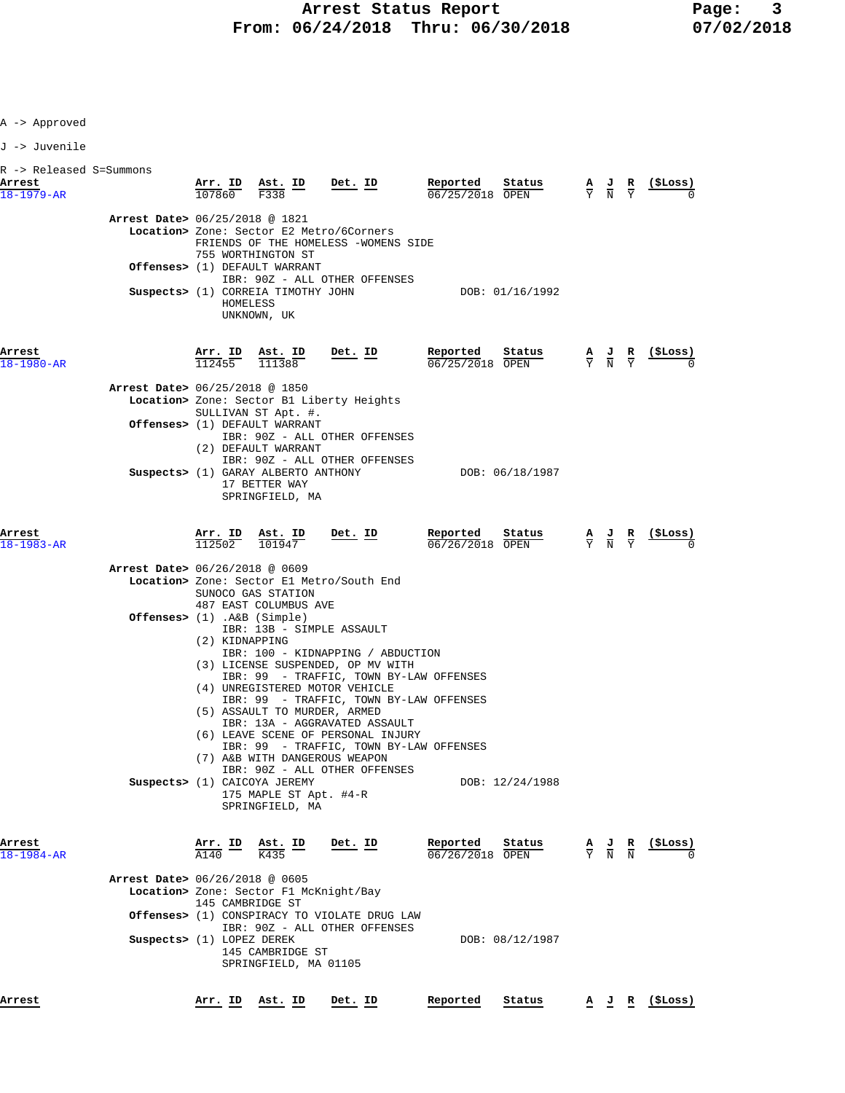| Approved |  |
|----------|--|
|----------|--|

J -> Juvenile

| R -> Released S=Summons<br>Arrest | Arr. ID Ast. ID                                                                                                                                                                                                                                                                                      | Det. ID                                                                                                                                                                                                                                                                                                                                                                                                  | Reported<br>Status                                       | $\frac{A}{Y}$ $\frac{J}{N}$<br>$rac{\mathbf{R}}{\mathbf{Y}}$ | (\$Loss) |
|-----------------------------------|------------------------------------------------------------------------------------------------------------------------------------------------------------------------------------------------------------------------------------------------------------------------------------------------------|----------------------------------------------------------------------------------------------------------------------------------------------------------------------------------------------------------------------------------------------------------------------------------------------------------------------------------------------------------------------------------------------------------|----------------------------------------------------------|--------------------------------------------------------------|----------|
| $18 - 1979 - AR$                  | 107860<br>F338<br>Arrest Date> 06/25/2018 @ 1821<br>Location> Zone: Sector E2 Metro/6Corners<br>755 WORTHINGTON ST<br>Offenses> (1) DEFAULT WARRANT<br>Suspects> (1) CORREIA TIMOTHY JOHN<br>HOMELESS<br>UNKNOWN, UK                                                                                 | FRIENDS OF THE HOMELESS -WOMENS SIDE<br>IBR: 90Z - ALL OTHER OFFENSES                                                                                                                                                                                                                                                                                                                                    | 06/25/2018 OPEN<br>DOB: 01/16/1992                       |                                                              |          |
| Arrest<br>$18 - 1980 - AR$        | Arr. ID<br>Ast. ID<br>112455<br>111388<br>Arrest Date> 06/25/2018 @ 1850<br>Location> Zone: Sector B1 Liberty Heights<br>SULLIVAN ST Apt. #.<br>Offenses> (1) DEFAULT WARRANT<br>(2) DEFAULT WARRANT                                                                                                 | Det. ID<br>IBR: 90Z - ALL OTHER OFFENSES<br>IBR: 90Z - ALL OTHER OFFENSES                                                                                                                                                                                                                                                                                                                                | Reported<br>Status<br>06/25/2018 OPEN                    | $\frac{A}{Y}$ $\frac{J}{N}$<br>$rac{\mathbf{R}}{\mathrm{Y}}$ | (\$Loss) |
| Arrest<br>$18 - 1983 - AR$        | Suspects> (1) GARAY ALBERTO ANTHONY<br>17 BETTER WAY<br>SPRINGFIELD, MA<br>Arr. ID<br>Ast. ID<br>112502<br>101947                                                                                                                                                                                    | Det. ID                                                                                                                                                                                                                                                                                                                                                                                                  | DOB: 06/18/1987<br>Reported<br>Status<br>06/26/2018 OPEN | $\frac{A}{Y}$ $\frac{J}{N}$<br>$rac{\mathbf{R}}{\mathrm{Y}}$ | (ŞLoss)  |
|                                   | Arrest Date> 06/26/2018 @ 0609<br>Location> Zone: Sector El Metro/South End<br>SUNOCO GAS STATION<br>487 EAST COLUMBUS AVE<br>Offenses> $(1)$ . A&B $(Simple)$<br>(2) KIDNAPPING<br>(5) ASSAULT TO MURDER, ARMED<br>(7) A&B WITH DANGEROUS WEAPON<br>Suspects> (1) CAICOYA JEREMY<br>SPRINGFIELD, MA | IBR: 13B - SIMPLE ASSAULT<br>IBR: 100 - KIDNAPPING / ABDUCTION<br>(3) LICENSE SUSPENDED, OP MV WITH<br>IBR: 99 - TRAFFIC, TOWN BY-LAW OFFENSES<br>(4) UNREGISTERED MOTOR VEHICLE<br>IBR: 99 - TRAFFIC, TOWN BY-LAW OFFENSES<br>IBR: 13A - AGGRAVATED ASSAULT<br>(6) LEAVE SCENE OF PERSONAL INJURY<br>IBR: 99 - TRAFFIC, TOWN BY-LAW OFFENSES<br>IBR: 90Z - ALL OTHER OFFENSES<br>175 MAPLE ST Apt. #4-R | DOB: 12/24/1988                                          |                                                              |          |
| Arrest<br>18-1984-AR              | Arr. ID<br><u>Ast. ID</u><br>A140<br>K435<br><b>Arrest Date&gt;</b> 06/26/2018 @ 0605<br>Location> Zone: Sector F1 McKnight/Bay<br>145 CAMBRIDGE ST<br><b>Offenses&gt;</b> (1) CONSPIRACY TO VIOLATE DRUG LAW<br>Suspects> (1) LOPEZ DEREK<br>145 CAMBRIDGE ST<br>SPRINGFIELD, MA 01105              | Det. ID<br>IBR: 90Z - ALL OTHER OFFENSES                                                                                                                                                                                                                                                                                                                                                                 | Reported<br>Status<br>06/26/2018 OPEN<br>DOB: 08/12/1987 | $\frac{A}{Y}$ $\frac{J}{N}$ $\frac{R}{N}$                    | (ŞLoss)  |

**Arrest Arr. ID Ast. ID Det. ID Reported Status A J R (\$Loss)**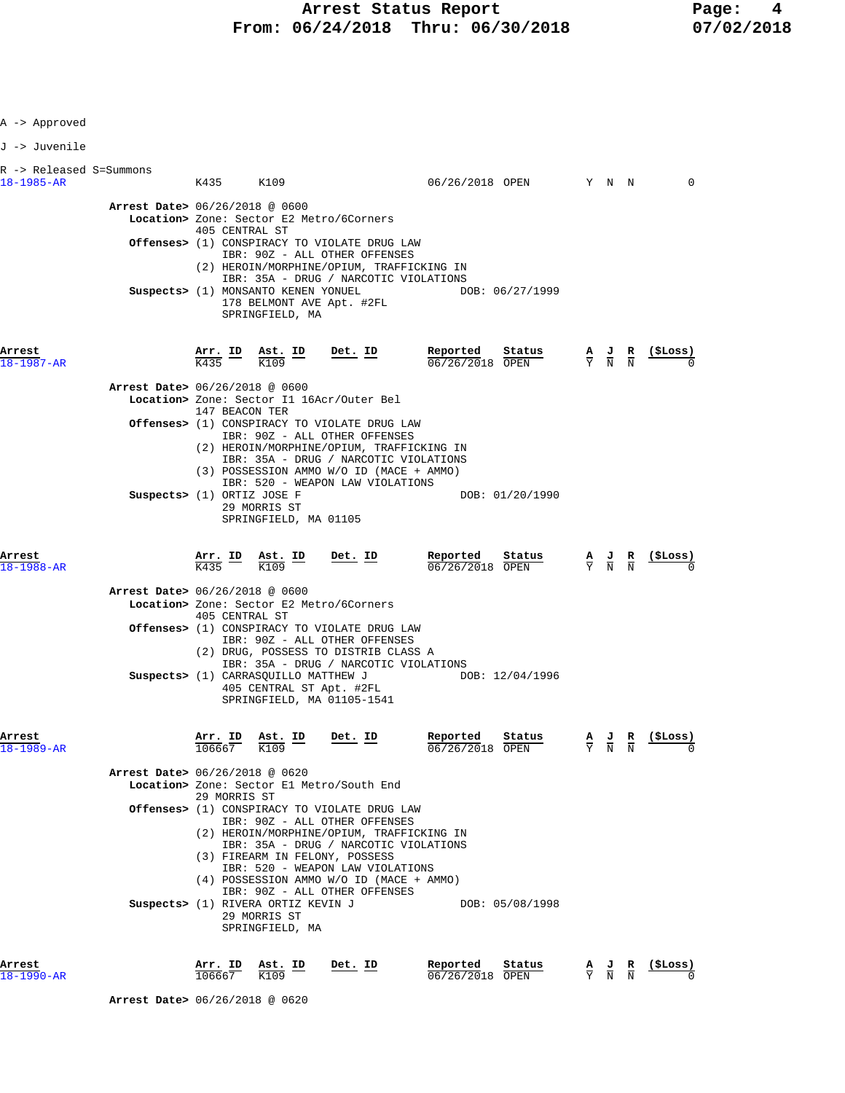Arrest Status Report **Page:** 4  **From: 06/24/2018 Thru: 06/30/2018 07/02/2018**

| A -> Approved                               |                                |                   |                                                                        |                                                                                                                                                                                                       |                               |                                                                                    |                             |                                                                                                 |                 |
|---------------------------------------------|--------------------------------|-------------------|------------------------------------------------------------------------|-------------------------------------------------------------------------------------------------------------------------------------------------------------------------------------------------------|-------------------------------|------------------------------------------------------------------------------------|-----------------------------|-------------------------------------------------------------------------------------------------|-----------------|
| J -> Juvenile                               |                                |                   |                                                                        |                                                                                                                                                                                                       |                               |                                                                                    |                             |                                                                                                 |                 |
| R -> Released S=Summons<br>$18 - 1985 - AR$ |                                |                   | K435 K109                                                              |                                                                                                                                                                                                       |                               | 06/26/2018 OPEN Y N N                                                              |                             |                                                                                                 | $\mathbf 0$     |
|                                             | Arrest Date> 06/26/2018 @ 0600 | 405 CENTRAL ST    |                                                                        | Location> Zone: Sector E2 Metro/6Corners<br><b>Offenses&gt;</b> (1) CONSPIRACY TO VIOLATE DRUG LAW                                                                                                    |                               |                                                                                    |                             |                                                                                                 |                 |
|                                             |                                |                   | Suspects> (1) MONSANTO KENEN YONUEL                                    | IBR: 90Z - ALL OTHER OFFENSES<br>(2) HEROIN/MORPHINE/OPIUM, TRAFFICKING IN<br>IBR: 35A - DRUG / NARCOTIC VIOLATIONS                                                                                   |                               | DOB: 06/27/1999                                                                    |                             |                                                                                                 |                 |
|                                             |                                |                   | SPRINGFIELD, MA                                                        | 178 BELMONT AVE Apt. #2FL                                                                                                                                                                             |                               |                                                                                    |                             |                                                                                                 |                 |
| Arrest<br>18-1987-AR                        |                                |                   |                                                                        | $\frac{\texttt{Arr.}}{\text{K435}}$ ID $\frac{\texttt{Ast.}}{\text{K109}}$ ID Det. ID                                                                                                                 | Repor <u>ted</u>              | <b>Reported Status</b> $\frac{A}{06/26/2018}$ <b>OPEN</b> $\frac{A}{Y}$ <b>N N</b> |                             |                                                                                                 |                 |
|                                             | Arrest Date> 06/26/2018 @ 0600 |                   |                                                                        | Location> Zone: Sector I1 16Acr/Outer Bel                                                                                                                                                             |                               |                                                                                    |                             |                                                                                                 |                 |
|                                             |                                | 147 BEACON TER    |                                                                        | <b>Offenses&gt;</b> (1) CONSPIRACY TO VIOLATE DRUG LAW<br>IBR: 90Z - ALL OTHER OFFENSES                                                                                                               |                               |                                                                                    |                             |                                                                                                 |                 |
|                                             |                                |                   |                                                                        | (2) HEROIN/MORPHINE/OPIUM, TRAFFICKING IN<br>IBR: 35A - DRUG / NARCOTIC VIOLATIONS<br>(3) POSSESSION AMMO W/O ID (MACE + AMMO)<br>IBR: 520 - WEAPON LAW VIOLATIONS                                    |                               |                                                                                    |                             |                                                                                                 |                 |
|                                             | Suspects> (1) ORTIZ JOSE F     |                   | 29 MORRIS ST<br>SPRINGFIELD, MA 01105                                  |                                                                                                                                                                                                       |                               | DOB: 01/20/1990                                                                    |                             |                                                                                                 |                 |
| Arrest<br>18-1988-AR                        |                                |                   | $\frac{\text{Arr.}}{\text{K435}}$ ID $\frac{\text{Ast.}}{\text{K109}}$ | $Det$ . ID                                                                                                                                                                                            | Reported<br>$06/26/2018$ OPEN | Sta <u>tus</u>                                                                     |                             | $\frac{\mathbf{A}}{\mathbf{Y}}$ $\frac{\mathbf{J}}{\mathbf{N}}$ $\frac{\mathbf{R}}{\mathbf{N}}$ | <u>(\$Loss)</u> |
|                                             | Arrest Date> 06/26/2018 @ 0600 | 405 CENTRAL ST    |                                                                        | Location> Zone: Sector E2 Metro/6Corners                                                                                                                                                              |                               |                                                                                    |                             |                                                                                                 |                 |
|                                             |                                |                   |                                                                        | <b>Offenses&gt;</b> (1) CONSPIRACY TO VIOLATE DRUG LAW<br>IBR: 90Z - ALL OTHER OFFENSES<br>(2) DRUG, POSSESS TO DISTRIB CLASS A<br>IBR: 35A - DRUG / NARCOTIC VIOLATIONS                              |                               |                                                                                    |                             |                                                                                                 |                 |
|                                             |                                |                   | Suspects> (1) CARRASOUILLO MATTHEW J<br>405 CENTRAL ST Apt. #2FL       | SPRINGFIELD, MA 01105-1541                                                                                                                                                                            |                               | DOB: 12/04/1996                                                                    |                             |                                                                                                 |                 |
| Arrest<br>18-1989-AR                        |                                | Arr. ID<br>106667 | Ast. ID<br>K109                                                        | Det. ID                                                                                                                                                                                               | Reported<br>06/26/2018 OPEN   | Status                                                                             | $\frac{A}{Y}$ $\frac{J}{N}$ | $\frac{R}{N}$                                                                                   | (ŞLoss)         |
|                                             | Arrest Date> 06/26/2018 @ 0620 | 29 MORRIS ST      |                                                                        | Location> Zone: Sector El Metro/South End                                                                                                                                                             |                               |                                                                                    |                             |                                                                                                 |                 |
|                                             |                                |                   |                                                                        | Offenses> (1) CONSPIRACY TO VIOLATE DRUG LAW<br>IBR: 90Z - ALL OTHER OFFENSES<br>(2) HEROIN/MORPHINE/OPIUM, TRAFFICKING IN<br>IBR: 35A - DRUG / NARCOTIC VIOLATIONS<br>(3) FIREARM IN FELONY, POSSESS |                               |                                                                                    |                             |                                                                                                 |                 |
|                                             |                                |                   | Suspects> (1) RIVERA ORTIZ KEVIN J<br>29 MORRIS ST<br>SPRINGFIELD, MA  | IBR: 520 - WEAPON LAW VIOLATIONS<br>(4) POSSESSION AMMO W/O ID (MACE + AMMO)<br>IBR: 90Z - ALL OTHER OFFENSES                                                                                         |                               | DOB: 05/08/1998                                                                    |                             |                                                                                                 |                 |
|                                             |                                |                   |                                                                        |                                                                                                                                                                                                       |                               |                                                                                    |                             |                                                                                                 |                 |

**Arrest Arr. ID Ast. ID Det. ID Reported Status A J R (\$Loss)**  $\overline{106667}$   $\overline{106667}$   $\overline{109}$   $\overline{06/26/2018}$   $\overline{OPEN}$   $\overline{Y}$   $\overline{N}$   $\overline{N}$   $\overline{0}$   $\overline{0}$ 

 **Arrest Date>** 06/26/2018 @ 0620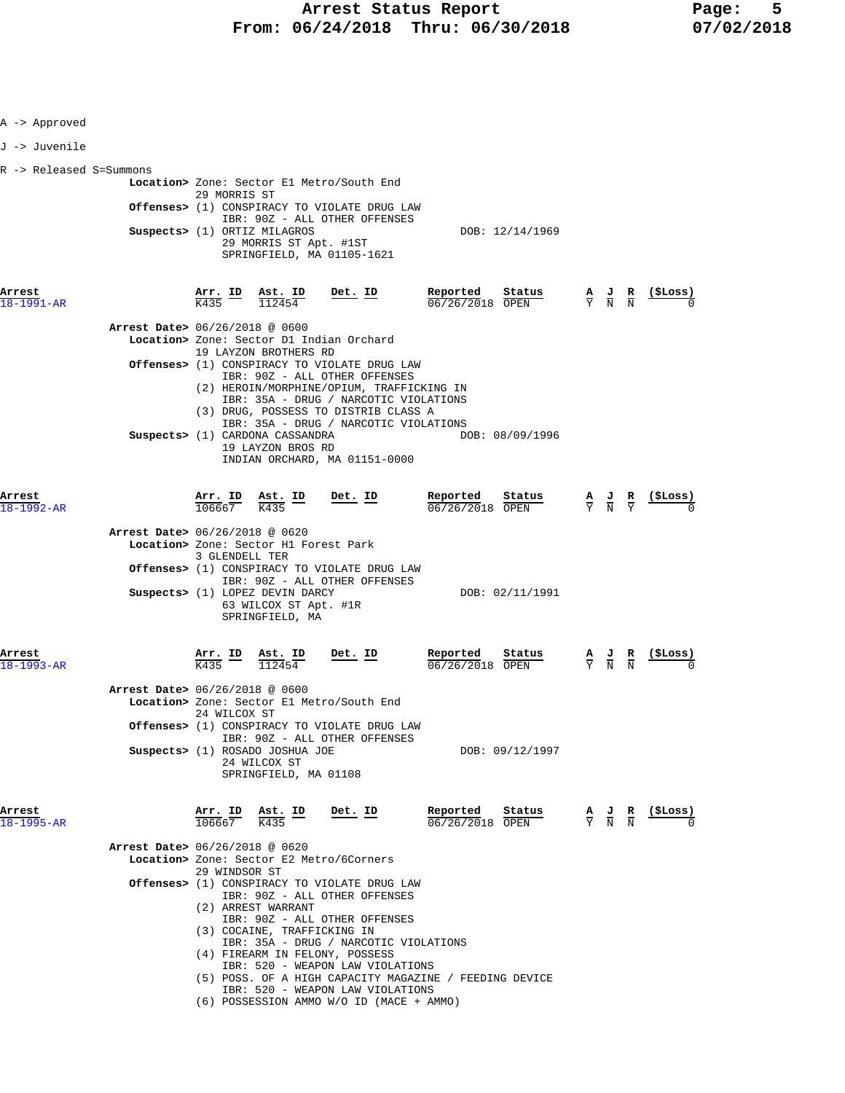|  | A -> Approved |
|--|---------------|
|  | J -> Juvenile |

| R -> Released S=Summons |                                                        |                 |
|-------------------------|--------------------------------------------------------|-----------------|
|                         | Location> Zone: Sector E1 Metro/South End              |                 |
|                         | 29 MORRIS ST                                           |                 |
|                         | <b>Offenses&gt;</b> (1) CONSPIRACY TO VIOLATE DRUG LAW |                 |
|                         | IBR: 90Z - ALL OTHER OFFENSES                          |                 |
|                         | Suspects> (1) ORTIZ MILAGROS                           | DOB: 12/14/1969 |
|                         | 29 MORRIS ST Apt. #1ST                                 |                 |
|                         | SPRINGFIELD, MA 01105-1621                             |                 |
|                         |                                                        |                 |

| <u>Arr. ID</u>                       | Ast. ID<br>112454                      | Det. ID                                                                                                                                                                                                                                                    | Reported                                                                                                                                                                                                                                                                                                                                                                                                                                                                                                                                         |                                                                                                                                                                                                                                                                                                                                                                                                                                                                                                                                                                                                                                                                     |                                                                                                                                                                                                         | ( <b>SLoss</b> )                                                                                                                                                                                                                                                                                                |
|--------------------------------------|----------------------------------------|------------------------------------------------------------------------------------------------------------------------------------------------------------------------------------------------------------------------------------------------------------|--------------------------------------------------------------------------------------------------------------------------------------------------------------------------------------------------------------------------------------------------------------------------------------------------------------------------------------------------------------------------------------------------------------------------------------------------------------------------------------------------------------------------------------------------|---------------------------------------------------------------------------------------------------------------------------------------------------------------------------------------------------------------------------------------------------------------------------------------------------------------------------------------------------------------------------------------------------------------------------------------------------------------------------------------------------------------------------------------------------------------------------------------------------------------------------------------------------------------------|---------------------------------------------------------------------------------------------------------------------------------------------------------------------------------------------------------|-----------------------------------------------------------------------------------------------------------------------------------------------------------------------------------------------------------------------------------------------------------------------------------------------------------------|
|                                      |                                        |                                                                                                                                                                                                                                                            |                                                                                                                                                                                                                                                                                                                                                                                                                                                                                                                                                  |                                                                                                                                                                                                                                                                                                                                                                                                                                                                                                                                                                                                                                                                     |                                                                                                                                                                                                         |                                                                                                                                                                                                                                                                                                                 |
|                                      |                                        |                                                                                                                                                                                                                                                            |                                                                                                                                                                                                                                                                                                                                                                                                                                                                                                                                                  |                                                                                                                                                                                                                                                                                                                                                                                                                                                                                                                                                                                                                                                                     |                                                                                                                                                                                                         |                                                                                                                                                                                                                                                                                                                 |
|                                      |                                        |                                                                                                                                                                                                                                                            |                                                                                                                                                                                                                                                                                                                                                                                                                                                                                                                                                  |                                                                                                                                                                                                                                                                                                                                                                                                                                                                                                                                                                                                                                                                     |                                                                                                                                                                                                         |                                                                                                                                                                                                                                                                                                                 |
|                                      |                                        |                                                                                                                                                                                                                                                            | Reported                                                                                                                                                                                                                                                                                                                                                                                                                                                                                                                                         |                                                                                                                                                                                                                                                                                                                                                                                                                                                                                                                                                                                                                                                                     |                                                                                                                                                                                                         | $\frac{1}{2}$                                                                                                                                                                                                                                                                                                   |
|                                      |                                        |                                                                                                                                                                                                                                                            |                                                                                                                                                                                                                                                                                                                                                                                                                                                                                                                                                  |                                                                                                                                                                                                                                                                                                                                                                                                                                                                                                                                                                                                                                                                     |                                                                                                                                                                                                         |                                                                                                                                                                                                                                                                                                                 |
|                                      |                                        |                                                                                                                                                                                                                                                            |                                                                                                                                                                                                                                                                                                                                                                                                                                                                                                                                                  |                                                                                                                                                                                                                                                                                                                                                                                                                                                                                                                                                                                                                                                                     |                                                                                                                                                                                                         |                                                                                                                                                                                                                                                                                                                 |
|                                      |                                        |                                                                                                                                                                                                                                                            |                                                                                                                                                                                                                                                                                                                                                                                                                                                                                                                                                  |                                                                                                                                                                                                                                                                                                                                                                                                                                                                                                                                                                                                                                                                     |                                                                                                                                                                                                         |                                                                                                                                                                                                                                                                                                                 |
| $\frac{\text{Arr.}}{\text{K435}}$ ID | <u>Ast. ID</u><br>112454               | $Det. ID$                                                                                                                                                                                                                                                  | Reported                                                                                                                                                                                                                                                                                                                                                                                                                                                                                                                                         |                                                                                                                                                                                                                                                                                                                                                                                                                                                                                                                                                                                                                                                                     |                                                                                                                                                                                                         |                                                                                                                                                                                                                                                                                                                 |
|                                      |                                        |                                                                                                                                                                                                                                                            |                                                                                                                                                                                                                                                                                                                                                                                                                                                                                                                                                  |                                                                                                                                                                                                                                                                                                                                                                                                                                                                                                                                                                                                                                                                     |                                                                                                                                                                                                         |                                                                                                                                                                                                                                                                                                                 |
|                                      |                                        |                                                                                                                                                                                                                                                            |                                                                                                                                                                                                                                                                                                                                                                                                                                                                                                                                                  |                                                                                                                                                                                                                                                                                                                                                                                                                                                                                                                                                                                                                                                                     |                                                                                                                                                                                                         |                                                                                                                                                                                                                                                                                                                 |
|                                      |                                        |                                                                                                                                                                                                                                                            |                                                                                                                                                                                                                                                                                                                                                                                                                                                                                                                                                  |                                                                                                                                                                                                                                                                                                                                                                                                                                                                                                                                                                                                                                                                     |                                                                                                                                                                                                         |                                                                                                                                                                                                                                                                                                                 |
| 106667                               | $\frac{\texttt{Ast.}}{\text{K435}}$ ID |                                                                                                                                                                                                                                                            | Reported                                                                                                                                                                                                                                                                                                                                                                                                                                                                                                                                         |                                                                                                                                                                                                                                                                                                                                                                                                                                                                                                                                                                                                                                                                     |                                                                                                                                                                                                         |                                                                                                                                                                                                                                                                                                                 |
|                                      |                                        |                                                                                                                                                                                                                                                            |                                                                                                                                                                                                                                                                                                                                                                                                                                                                                                                                                  |                                                                                                                                                                                                                                                                                                                                                                                                                                                                                                                                                                                                                                                                     |                                                                                                                                                                                                         |                                                                                                                                                                                                                                                                                                                 |
|                                      |                                        |                                                                                                                                                                                                                                                            |                                                                                                                                                                                                                                                                                                                                                                                                                                                                                                                                                  |                                                                                                                                                                                                                                                                                                                                                                                                                                                                                                                                                                                                                                                                     |                                                                                                                                                                                                         |                                                                                                                                                                                                                                                                                                                 |
|                                      |                                        |                                                                                                                                                                                                                                                            |                                                                                                                                                                                                                                                                                                                                                                                                                                                                                                                                                  |                                                                                                                                                                                                                                                                                                                                                                                                                                                                                                                                                                                                                                                                     |                                                                                                                                                                                                         |                                                                                                                                                                                                                                                                                                                 |
|                                      |                                        | <b>Arrest Date&gt;</b> 06/26/2018 @ 0600<br>Arrest Date> 06/26/2018 @ 0620<br>3 GLENDELL TER<br>Arrest Date> 06/26/2018 @ 0600<br>24 WILCOX ST<br>24 WILCOX ST<br>A <u>rr. ID</u><br>Arrest Date> 06/26/2018 @ 0620<br>29 WINDSOR ST<br>(2) ARREST WARRANT | Location> Zone: Sector D1 Indian Orchard<br>19 LAYZON BROTHERS RD<br>Suspects> (1) CARDONA CASSANDRA<br>19 LAYZON BROS RD<br>$\frac{\text{Arr. ID}}{106667}$ $\frac{\text{Ast. ID}}{K435}$ Det. ID<br>Location> Zone: Sector H1 Forest Park<br>Suspects> (1) LOPEZ DEVIN DARCY<br>63 WILCOX ST Apt. #1R<br>SPRINGFIELD, MA<br>Location> Zone: Sector El Metro/South End<br>Suspects> (1) ROSADO JOSHUA JOE<br>SPRINGFIELD, MA 01108<br>Location> Zone: Sector E2 Metro/6Corners<br>(3) COCAINE, TRAFFICKING IN<br>(4) FIREARM IN FELONY, POSSESS | Offenses> (1) CONSPIRACY TO VIOLATE DRUG LAW<br>IBR: 90Z - ALL OTHER OFFENSES<br>(2) HEROIN/MORPHINE/OPIUM, TRAFFICKING IN<br>IBR: 35A - DRUG / NARCOTIC VIOLATIONS<br>(3) DRUG, POSSESS TO DISTRIB CLASS A<br>IBR: 35A - DRUG / NARCOTIC VIOLATIONS<br>INDIAN ORCHARD, MA 01151-0000<br>Offenses> (1) CONSPIRACY TO VIOLATE DRUG LAW<br>IBR: 90Z - ALL OTHER OFFENSES<br>Offenses> (1) CONSPIRACY TO VIOLATE DRUG LAW<br>IBR: 90Z - ALL OTHER OFFENSES<br>$Det. ID$<br>Offenses> (1) CONSPIRACY TO VIOLATE DRUG LAW<br>IBR: 90Z - ALL OTHER OFFENSES<br>IBR: 90Z - ALL OTHER OFFENSES<br>IBR: 35A - DRUG / NARCOTIC VIOLATIONS<br>IBR: 520 - WEAPON LAW VIOLATIONS | Status<br>06/26/2018 OPEN<br>DOB: 08/09/1996<br>Status<br>06/26/2018 OPEN<br>DOB: 02/11/1991<br>Status<br>06/26/2018 OPEN<br>DOB: 09/12/1997<br>$\frac{\text{Status}}{\text{num}}$<br>$06/26/2018$ OPEN | $\underline{A}$ $\underline{J}$ $\underline{R}$<br>$\frac{\mathbf{A}}{\mathbf{Y}}$ $\frac{\mathbf{J}}{\mathbf{N}}$ $\frac{\mathbf{R}}{\mathbf{Y}}$<br>$\frac{A}{Y}$ $\frac{J}{N}$ $\frac{R}{N}$<br>$\frac{A}{Y}$ $\frac{J}{N}$ $\frac{R}{N}$ (\$Loss)<br>(5) POSS. OF A HIGH CAPACITY MAGAZINE / FEEDING DEVICE |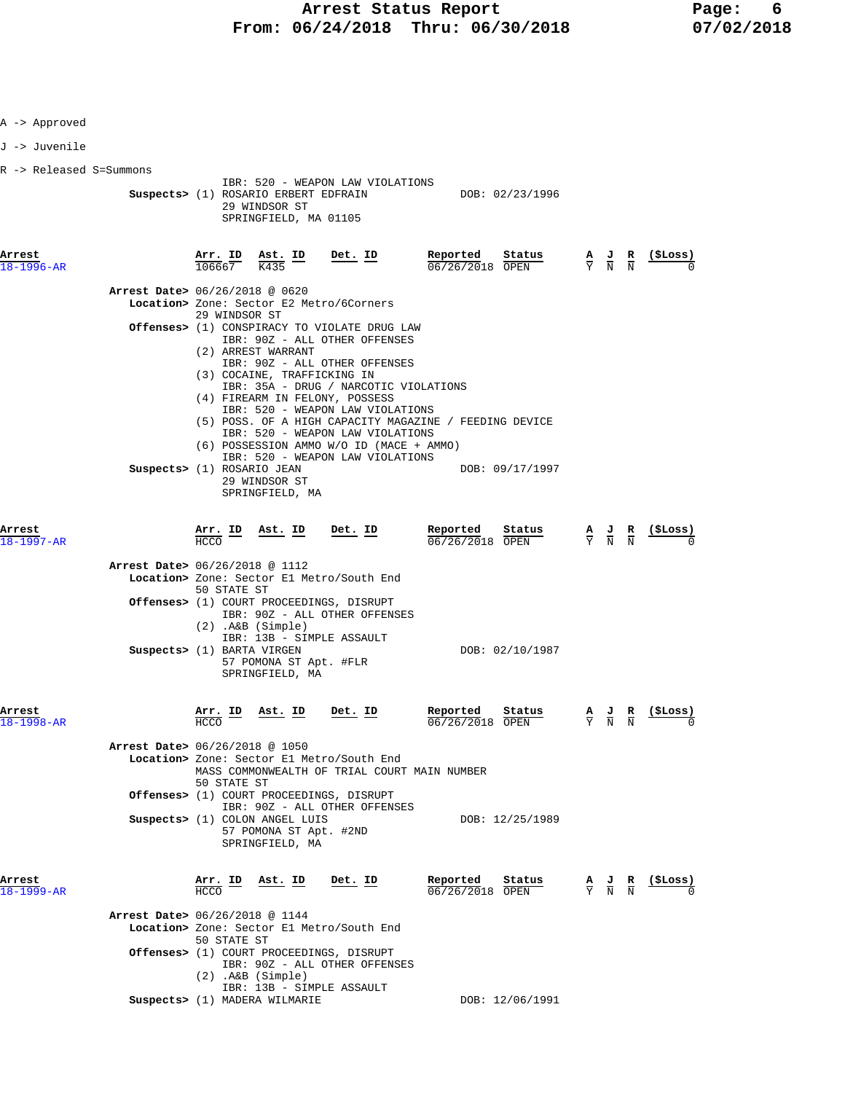| A -> Approved             |                                |                                                                        |                                                                             |                                                                                                                                                                                                                                 |                                                                                                |                                                                                                 |                                                                                                                                                                       |
|---------------------------|--------------------------------|------------------------------------------------------------------------|-----------------------------------------------------------------------------|---------------------------------------------------------------------------------------------------------------------------------------------------------------------------------------------------------------------------------|------------------------------------------------------------------------------------------------|-------------------------------------------------------------------------------------------------|-----------------------------------------------------------------------------------------------------------------------------------------------------------------------|
| J -> Juvenile             |                                |                                                                        |                                                                             |                                                                                                                                                                                                                                 |                                                                                                |                                                                                                 |                                                                                                                                                                       |
| R -> Released S=Summons   |                                |                                                                        |                                                                             |                                                                                                                                                                                                                                 |                                                                                                |                                                                                                 |                                                                                                                                                                       |
|                           |                                |                                                                        | 29 WINDSOR ST<br>SPRINGFIELD, MA 01105                                      | IBR: 520 - WEAPON LAW VIOLATIONS                                                                                                                                                                                                | Suspects> (1) ROSARIO ERBERT EDFRAIN DOB: 02/23/1996                                           |                                                                                                 |                                                                                                                                                                       |
| Arrest<br>18-1996-AR      |                                | Arr. ID<br>106667                                                      | $\frac{\texttt{Ast.}}{\text{K435}}$ ID                                      | Det. ID                                                                                                                                                                                                                         | Reported<br>Status<br>$06/26/2018$ OPEN                                                        | $\frac{A}{Y}$ $\frac{J}{N}$ $\frac{R}{N}$                                                       | (ŞLoss)                                                                                                                                                               |
|                           | Arrest Date> 06/26/2018 @ 0620 |                                                                        |                                                                             | Location> Zone: Sector E2 Metro/6Corners                                                                                                                                                                                        |                                                                                                |                                                                                                 |                                                                                                                                                                       |
|                           |                                | 29 WINDSOR ST                                                          | (2) ARREST WARRANT                                                          | Offenses> (1) CONSPIRACY TO VIOLATE DRUG LAW<br>IBR: 90Z - ALL OTHER OFFENSES<br>IBR: 90Z - ALL OTHER OFFENSES                                                                                                                  |                                                                                                |                                                                                                 |                                                                                                                                                                       |
|                           | Suspects> (1) ROSARIO JEAN     |                                                                        | (3) COCAINE, TRAFFICKING IN<br>29 WINDSOR ST<br>SPRINGFIELD, MA             | IBR: 35A - DRUG / NARCOTIC VIOLATIONS<br>(4) FIREARM IN FELONY, POSSESS<br>IBR: 520 - WEAPON LAW VIOLATIONS<br>IBR: 520 - WEAPON LAW VIOLATIONS<br>(6) POSSESSION AMMO W/O ID (MACE + AMMO)<br>IBR: 520 - WEAPON LAW VIOLATIONS | (5) POSS. OF A HIGH CAPACITY MAGAZINE / FEEDING DEVICE<br>DOB: 09/17/1997                      |                                                                                                 |                                                                                                                                                                       |
| Arrest<br>18-1997-AR      |                                | $\frac{\text{Arr.}}{\text{HOM}}$ $\frac{\text{ID}}{\text{HOM}}$<br>HCO | Ast. ID Det. ID                                                             |                                                                                                                                                                                                                                 | <b>Reported</b> Status A J R (\$Loss) $\overline{06/26/2018}$ OPEN $\overline{Y}$ N N (\$Loss) |                                                                                                 |                                                                                                                                                                       |
|                           | Arrest Date> 06/26/2018 @ 1112 | 50 STATE ST                                                            |                                                                             | Location> Zone: Sector El Metro/South End                                                                                                                                                                                       |                                                                                                |                                                                                                 |                                                                                                                                                                       |
|                           |                                |                                                                        | $(2)$ . A&B $(Simple)$                                                      | Offenses> (1) COURT PROCEEDINGS, DISRUPT<br>IBR: 90Z - ALL OTHER OFFENSES                                                                                                                                                       |                                                                                                |                                                                                                 |                                                                                                                                                                       |
|                           | Suspects> (1) BARTA VIRGEN     |                                                                        | 57 POMONA ST Apt. #FLR<br>SPRINGFIELD, MA                                   | IBR: 13B - SIMPLE ASSAULT                                                                                                                                                                                                       | DOB: 02/10/1987                                                                                |                                                                                                 |                                                                                                                                                                       |
| Arrest<br>18-1998-AR      |                                | $\frac{\text{Arr.}}{\text{tan}}$ ID<br><b>HCCO</b>                     | <u>Ast. ID</u>                                                              | Det. ID                                                                                                                                                                                                                         | Reported<br>Status<br>06/26/2018 OPEN                                                          |                                                                                                 | $\frac{\mathbf{A}}{\mathbf{Y}}$ $\frac{\mathbf{J}}{\mathbf{N}}$ $\frac{\mathbf{R}}{\mathbf{N}}$ $\frac{(\frac{\mathbf{S}}{\mathbf{L} \cdot \mathbf{S}})}{\mathbf{A}}$ |
|                           | Arrest Date> 06/26/2018 @ 1050 | 50 STATE ST                                                            |                                                                             | Location> Zone: Sector El Metro/South End<br>MASS COMMONWEALTH OF TRIAL COURT MAIN NUMBER                                                                                                                                       |                                                                                                |                                                                                                 |                                                                                                                                                                       |
|                           |                                |                                                                        |                                                                             | Offenses> (1) COURT PROCEEDINGS, DISRUPT<br>IBR: 90Z - ALL OTHER OFFENSES                                                                                                                                                       |                                                                                                |                                                                                                 |                                                                                                                                                                       |
|                           |                                |                                                                        | Suspects> (1) COLON ANGEL LUIS<br>57 POMONA ST Apt. #2ND<br>SPRINGFIELD, MA |                                                                                                                                                                                                                                 | DOB: 12/25/1989                                                                                |                                                                                                 |                                                                                                                                                                       |
| Arrest<br>$8 - 1999 - AR$ |                                | Arr. ID<br><b>HCCO</b>                                                 | <u>Ast. ID</u>                                                              | Det. ID                                                                                                                                                                                                                         | Reported<br>Status<br>06/26/2018 OPEN                                                          | $\frac{\mathbf{A}}{\mathbf{Y}}$ $\frac{\mathbf{J}}{\mathbf{N}}$ $\frac{\mathbf{R}}{\mathbf{N}}$ | (SLoss)                                                                                                                                                               |
|                           | Arrest Date> 06/26/2018 @ 1144 | 50 STATE ST                                                            | $(2)$ . A&B $(Simple)$                                                      | Location> Zone: Sector El Metro/South End<br>Offenses> (1) COURT PROCEEDINGS, DISRUPT<br>IBR: 90Z - ALL OTHER OFFENSES                                                                                                          |                                                                                                |                                                                                                 |                                                                                                                                                                       |
|                           |                                |                                                                        | Suspects> (1) MADERA WILMARIE                                               | IBR: 13B - SIMPLE ASSAULT                                                                                                                                                                                                       | DOB: 12/06/1991                                                                                |                                                                                                 |                                                                                                                                                                       |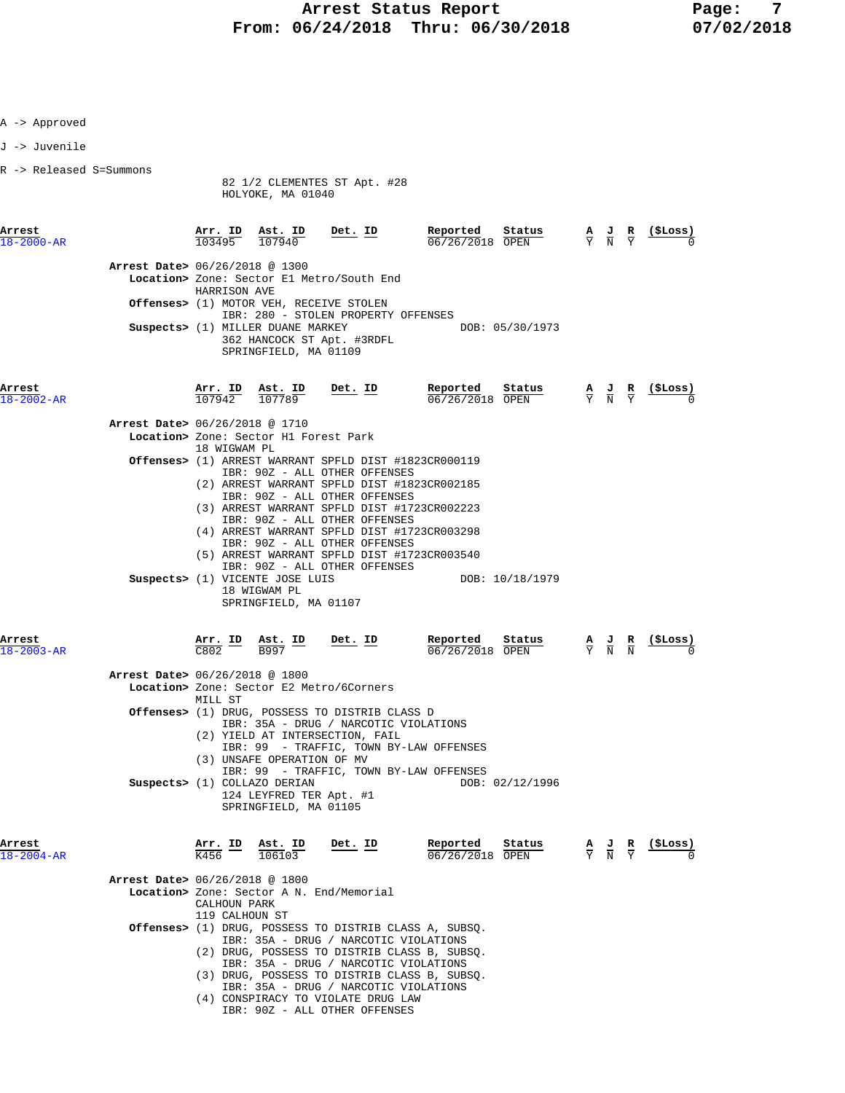A -> Approved

| J -> Juvenile                  |                                |                                                                                                              |                                                                                                                                                                                                                                                                                                                                                          |                                      |                 |                                           |                                                                                                 |                |
|--------------------------------|--------------------------------|--------------------------------------------------------------------------------------------------------------|----------------------------------------------------------------------------------------------------------------------------------------------------------------------------------------------------------------------------------------------------------------------------------------------------------------------------------------------------------|--------------------------------------|-----------------|-------------------------------------------|-------------------------------------------------------------------------------------------------|----------------|
| R -> Released S=Summons        |                                | HOLYOKE, MA 01040                                                                                            | 82 1/2 CLEMENTES ST Apt. #28                                                                                                                                                                                                                                                                                                                             |                                      |                 |                                           |                                                                                                 |                |
| Arrest<br>$18 - 2000 - AR$     |                                | $\frac{\texttt{Arr.}}{103495}$ $\frac{\texttt{ Ast.}}{107940}$ $\frac{\texttt{Det.}}{101995}$                |                                                                                                                                                                                                                                                                                                                                                          | Reported<br>$06/26/2018$ OPEN        | Status          | $\frac{A}{Y}$ $\frac{J}{N}$ $\frac{R}{Y}$ |                                                                                                 | ( \$Loss)      |
| Arrest Date> 06/26/2018 @ 1300 | HARRISON AVE                   |                                                                                                              | Location> Zone: Sector El Metro/South End                                                                                                                                                                                                                                                                                                                |                                      |                 |                                           |                                                                                                 |                |
|                                |                                |                                                                                                              | Offenses> (1) MOTOR VEH, RECEIVE STOLEN<br>IBR: 280 - STOLEN PROPERTY OFFENSES                                                                                                                                                                                                                                                                           |                                      |                 |                                           |                                                                                                 |                |
|                                |                                | Suspects> (1) MILLER DUANE MARKEY<br>SPRINGFIELD, MA 01109                                                   | 362 HANCOCK ST Apt. #3RDFL                                                                                                                                                                                                                                                                                                                               |                                      | DOB: 05/30/1973 |                                           |                                                                                                 |                |
| Arrest<br>$18 - 2002 - AR$     | $\frac{\texttt{Arr.}}{107942}$ |                                                                                                              | $\frac{\texttt{Ast.}}{107789}$ Det. ID                                                                                                                                                                                                                                                                                                                   | Reported<br>06/26/2018 OPEN          | Status          | $\frac{A}{Y}$ $\frac{J}{N}$ $\frac{R}{Y}$ |                                                                                                 | <u>(ŞLoss)</u> |
| Arrest Date> 06/26/2018 @ 1710 |                                | Location> Zone: Sector H1 Forest Park                                                                        |                                                                                                                                                                                                                                                                                                                                                          |                                      |                 |                                           |                                                                                                 |                |
|                                | 18 WIGWAM PL                   |                                                                                                              | <b>Offenses&gt;</b> (1) ARREST WARRANT SPFLD DIST #1823CR000119                                                                                                                                                                                                                                                                                          |                                      |                 |                                           |                                                                                                 |                |
|                                |                                |                                                                                                              | IBR: 90Z - ALL OTHER OFFENSES<br>(2) ARREST WARRANT SPFLD DIST #1823CR002185<br>IBR: 90Z - ALL OTHER OFFENSES<br>(3) ARREST WARRANT SPFLD DIST #1723CR002223<br>IBR: 90Z - ALL OTHER OFFENSES                                                                                                                                                            |                                      |                 |                                           |                                                                                                 |                |
|                                |                                |                                                                                                              | (4) ARREST WARRANT SPFLD DIST #1723CR003298<br>IBR: 90Z - ALL OTHER OFFENSES<br>(5) ARREST WARRANT SPFLD DIST #1723CR003540<br>IBR: 90Z - ALL OTHER OFFENSES                                                                                                                                                                                             |                                      |                 |                                           |                                                                                                 |                |
|                                |                                | Suspects> (1) VICENTE JOSE LUIS<br>18 WIGWAM PL<br>SPRINGFIELD, MA 01107                                     |                                                                                                                                                                                                                                                                                                                                                          |                                      | DOB: 10/18/1979 |                                           |                                                                                                 |                |
| Arrest<br>$18 - 2003 - AR$     |                                | $\frac{\texttt{Arr.}}{\texttt{C802}}$ $\frac{\texttt{ID}}{\texttt{B997}}$ $\frac{\texttt{Ast.}}{\texttt{D}}$ | $Det$ . ID                                                                                                                                                                                                                                                                                                                                               | Reported Status<br>$06/26/2018$ OPEN |                 |                                           | $\frac{A}{Y}$ $\frac{J}{N}$ $\frac{R}{N}$                                                       | (SLoss)        |
| Arrest Date> 06/26/2018 @ 1800 | MILL ST                        |                                                                                                              | Location> Zone: Sector E2 Metro/6Corners                                                                                                                                                                                                                                                                                                                 |                                      |                 |                                           |                                                                                                 |                |
|                                |                                | (3) UNSAFE OPERATION OF MV                                                                                   | <b>Offenses&gt;</b> (1) DRUG, POSSESS TO DISTRIB CLASS D<br>IBR: 35A - DRUG / NARCOTIC VIOLATIONS<br>(2) YIELD AT INTERSECTION, FAIL<br>IBR: 99 - TRAFFIC, TOWN BY-LAW OFFENSES                                                                                                                                                                          |                                      |                 |                                           |                                                                                                 |                |
|                                |                                | Suspects> (1) COLLAZO DERIAN<br>124 LEYFRED TER Apt. #1<br>SPRINGFIELD, MA 01105                             | IBR: 99 - TRAFFIC, TOWN BY-LAW OFFENSES                                                                                                                                                                                                                                                                                                                  |                                      | DOB: 02/12/1996 |                                           |                                                                                                 |                |
| Arrest<br>$18 - 2004 - AR$     | Arr. ID<br>K456                | Ast. ID<br>106103                                                                                            | Det. ID                                                                                                                                                                                                                                                                                                                                                  | Reported<br>06/26/2018 OPEN          | Status          |                                           | $\frac{\mathbf{A}}{\mathbf{Y}}$ $\frac{\mathbf{J}}{\mathbf{N}}$ $\frac{\mathbf{R}}{\mathbf{Y}}$ | (ŞLoss)        |
| Arrest Date> 06/26/2018 @ 1800 | CALHOUN PARK<br>119 CALHOUN ST |                                                                                                              | Location> Zone: Sector A N. End/Memorial                                                                                                                                                                                                                                                                                                                 |                                      |                 |                                           |                                                                                                 |                |
|                                |                                |                                                                                                              | Offenses> (1) DRUG, POSSESS TO DISTRIB CLASS A, SUBSQ.<br>IBR: 35A - DRUG / NARCOTIC VIOLATIONS<br>(2) DRUG, POSSESS TO DISTRIB CLASS B, SUBSQ.<br>IBR: 35A - DRUG / NARCOTIC VIOLATIONS<br>(3) DRUG, POSSESS TO DISTRIB CLASS B, SUBSQ.<br>IBR: 35A - DRUG / NARCOTIC VIOLATIONS<br>(4) CONSPIRACY TO VIOLATE DRUG LAW<br>IBR: 90Z - ALL OTHER OFFENSES |                                      |                 |                                           |                                                                                                 |                |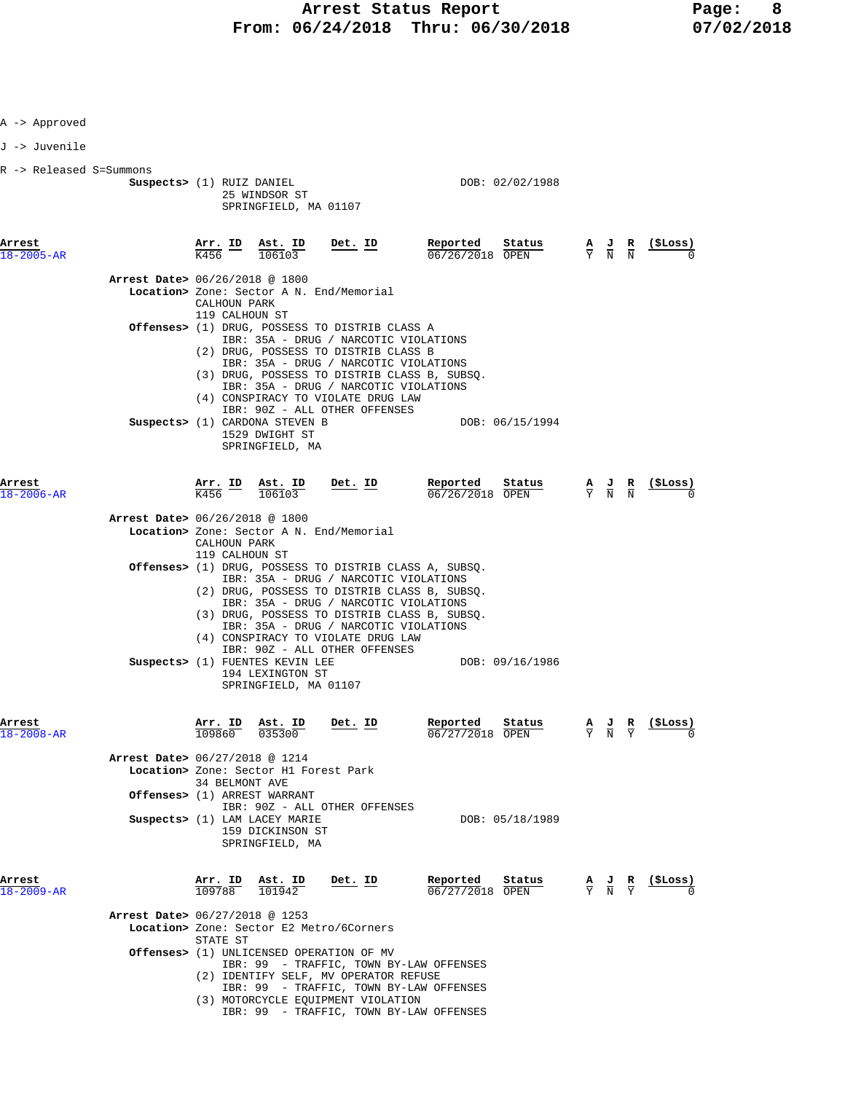| A -> Approved              |                                          |                                |                                                                              |                                                                                                                                                                                                                                                                                   |                                       |                                 |                                                                                                 |                               |                   |
|----------------------------|------------------------------------------|--------------------------------|------------------------------------------------------------------------------|-----------------------------------------------------------------------------------------------------------------------------------------------------------------------------------------------------------------------------------------------------------------------------------|---------------------------------------|---------------------------------|-------------------------------------------------------------------------------------------------|-------------------------------|-------------------|
| J -> Juvenile              |                                          |                                |                                                                              |                                                                                                                                                                                                                                                                                   |                                       |                                 |                                                                                                 |                               |                   |
| R -> Released S=Summons    | Suspects> (1) RUIZ DANIEL                |                                | 25 WINDSOR ST<br>SPRINGFIELD, MA 01107                                       |                                                                                                                                                                                                                                                                                   | DOB: 02/02/1988                       |                                 |                                                                                                 |                               |                   |
| Arrest<br>18-2005-AR       |                                          | <u>Arr. ID</u><br>K456         | Ast. ID<br>106103                                                            | Det. ID                                                                                                                                                                                                                                                                           | Reported<br>Status<br>06/26/2018 OPEN |                                 | $\frac{\mathbf{A}}{\mathbf{Y}}$ $\frac{\mathbf{J}}{\mathbf{N}}$                                 | $\frac{R}{N}$                 | <u>( ŞLos</u> s ) |
|                            | <b>Arrest Date&gt;</b> 06/26/2018 @ 1800 | CALHOUN PARK<br>119 CALHOUN ST | <b>Location&gt;</b> Zone: Sector A N. End/Memorial                           |                                                                                                                                                                                                                                                                                   |                                       |                                 |                                                                                                 |                               |                   |
|                            |                                          |                                |                                                                              | Offenses> (1) DRUG, POSSESS TO DISTRIB CLASS A<br>IBR: 35A - DRUG / NARCOTIC VIOLATIONS<br>(2) DRUG, POSSESS TO DISTRIB CLASS B<br>IBR: 35A - DRUG / NARCOTIC VIOLATIONS                                                                                                          |                                       |                                 |                                                                                                 |                               |                   |
|                            |                                          |                                |                                                                              | (3) DRUG, POSSESS TO DISTRIB CLASS B, SUBSQ.<br>IBR: 35A - DRUG / NARCOTIC VIOLATIONS<br>(4) CONSPIRACY TO VIOLATE DRUG LAW<br>IBR: 90Z - ALL OTHER OFFENSES                                                                                                                      |                                       |                                 |                                                                                                 |                               |                   |
|                            |                                          |                                | Suspects> (1) CARDONA STEVEN B<br>1529 DWIGHT ST<br>SPRINGFIELD, MA          |                                                                                                                                                                                                                                                                                   | DOB: 06/15/1994                       |                                 |                                                                                                 |                               |                   |
| Arrest<br>-2006–AR         |                                          | <u>Arr. ID</u><br>K456         | Ast. ID<br>106103                                                            | Det. ID                                                                                                                                                                                                                                                                           | Reported<br>Status<br>06/26/2018 OPEN |                                 | $\frac{A}{Y}$ $\frac{J}{N}$ $\frac{R}{N}$                                                       |                               | (ŞLoss)           |
|                            | <b>Arrest Date&gt;</b> 06/26/2018 @ 1800 |                                | Location> Zone: Sector A N. End/Memorial                                     |                                                                                                                                                                                                                                                                                   |                                       |                                 |                                                                                                 |                               |                   |
|                            |                                          | CALHOUN PARK<br>119 CALHOUN ST |                                                                              |                                                                                                                                                                                                                                                                                   |                                       |                                 |                                                                                                 |                               |                   |
|                            |                                          |                                |                                                                              | Offenses> (1) DRUG, POSSESS TO DISTRIB CLASS A, SUBSQ.<br>IBR: 35A - DRUG / NARCOTIC VIOLATIONS<br>(2) DRUG, POSSESS TO DISTRIB CLASS B, SUBSQ.<br>IBR: 35A - DRUG / NARCOTIC VIOLATIONS<br>(3) DRUG, POSSESS TO DISTRIB CLASS B, SUBSQ.<br>IBR: 35A - DRUG / NARCOTIC VIOLATIONS |                                       |                                 |                                                                                                 |                               |                   |
|                            |                                          |                                | Suspects> (1) FUENTES KEVIN LEE<br>194 LEXINGTON ST<br>SPRINGFIELD, MA 01107 | (4) CONSPIRACY TO VIOLATE DRUG LAW<br>IBR: 90Z - ALL OTHER OFFENSES                                                                                                                                                                                                               | DOB: 09/16/1986                       |                                 |                                                                                                 |                               |                   |
| Arrest<br>$18 - 2008 - AR$ |                                          | Arr.<br>ID<br>109860           | Ast. ID<br>035300                                                            | Det. ID                                                                                                                                                                                                                                                                           | Reported<br>Status<br>06/27/2018 OPEN | $\frac{\mathbf{A}}{\mathbf{Y}}$ | $\frac{1}{N}$                                                                                   | $rac{\mathbf{R}}{\mathrm{Y}}$ | (ŞLoss)           |
|                            | Arrest Date> 06/27/2018 @ 1214           | 34 BELMONT AVE                 | Location> Zone: Sector H1 Forest Park<br>Offenses> (1) ARREST WARRANT        |                                                                                                                                                                                                                                                                                   |                                       |                                 |                                                                                                 |                               |                   |
|                            |                                          |                                | Suspects> (1) LAM LACEY MARIE<br>159 DICKINSON ST<br>SPRINGFIELD, MA         | IBR: 90Z - ALL OTHER OFFENSES                                                                                                                                                                                                                                                     | DOB: 05/18/1989                       |                                 |                                                                                                 |                               |                   |
| Arrest<br>18-2009-AR       |                                          |                                | $\frac{\texttt{Arr.}}{109788}$ $\frac{\texttt{ Ast.}}{101942}$               | Det. ID                                                                                                                                                                                                                                                                           | Reported<br>Status<br>06/27/2018 OPEN |                                 | $\frac{\mathbf{A}}{\mathbf{Y}}$ $\frac{\mathbf{J}}{\mathbf{N}}$ $\frac{\mathbf{R}}{\mathbf{Y}}$ |                               | (ŞLoss)           |
|                            | <b>Arrest Date&gt; 06/27/2018 @ 1253</b> | STATE ST                       | Location> Zone: Sector E2 Metro/6Corners                                     |                                                                                                                                                                                                                                                                                   |                                       |                                 |                                                                                                 |                               |                   |
|                            |                                          |                                | <b>Offenses&gt;</b> (1) UNLICENSED OPERATION OF MV                           | IBR: 99 - TRAFFIC, TOWN BY-LAW OFFENSES<br>(2) IDENTIFY SELF, MV OPERATOR REFUSE<br>IBR: 99 - TRAFFIC, TOWN BY-LAW OFFENSES                                                                                                                                                       |                                       |                                 |                                                                                                 |                               |                   |
|                            |                                          |                                |                                                                              | (3) MOTORCYCLE EQUIPMENT VIOLATION                                                                                                                                                                                                                                                |                                       |                                 |                                                                                                 |                               |                   |

IBR: 99 - TRAFFIC, TOWN BY-LAW OFFENSES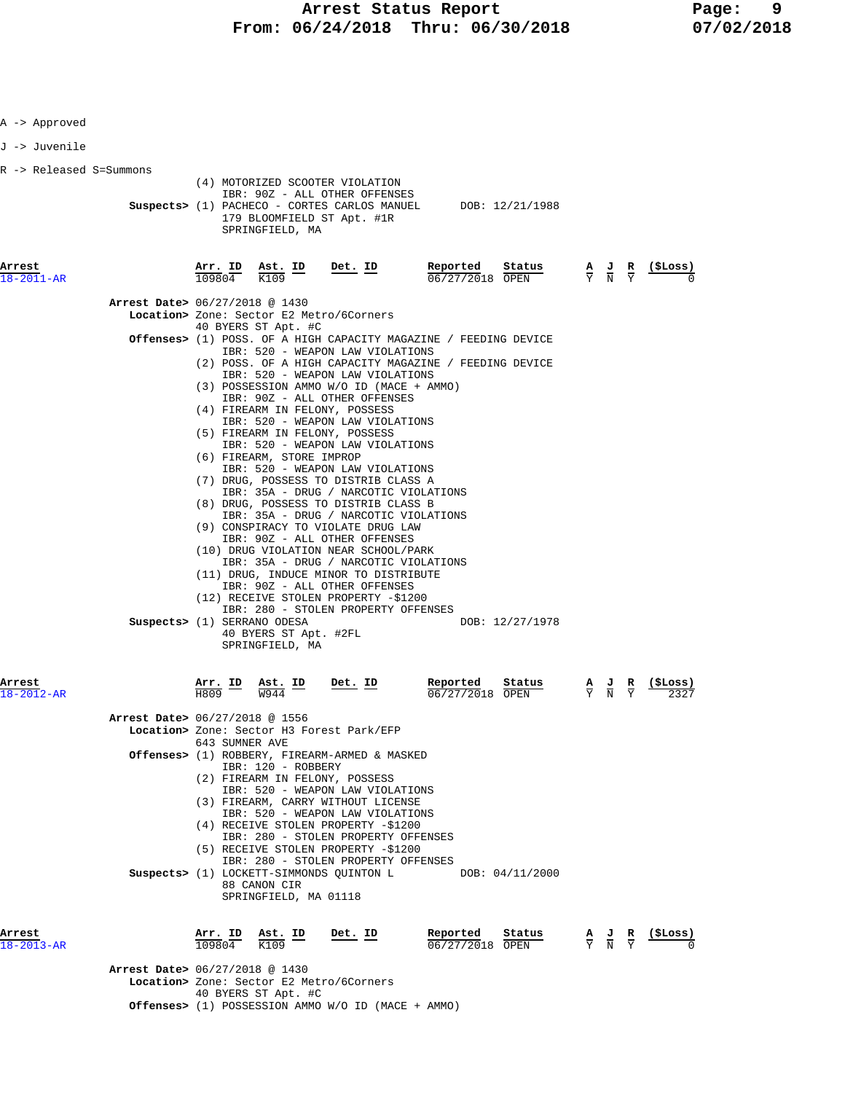| 18-2013-AR                               | Arrest Date> 06/27/2018 @ 1430                                | 109804                   | K109<br>40 BYERS ST Apt. #C                                                                  | Location> Zone: Sector E2 Metro/6Corners<br>Offenses> (1) POSSESSION AMMO W/O ID (MACE + AMMO)                                                                                                                                                                                                                                                                                                                                                                                                                                                                                                                                                                                                                                                                                                                                                                                                                                                                                                           | $06/27/2018$ OPEN           |                           |                                                                                                 |                                                                                                 |                   |
|------------------------------------------|---------------------------------------------------------------|--------------------------|----------------------------------------------------------------------------------------------|----------------------------------------------------------------------------------------------------------------------------------------------------------------------------------------------------------------------------------------------------------------------------------------------------------------------------------------------------------------------------------------------------------------------------------------------------------------------------------------------------------------------------------------------------------------------------------------------------------------------------------------------------------------------------------------------------------------------------------------------------------------------------------------------------------------------------------------------------------------------------------------------------------------------------------------------------------------------------------------------------------|-----------------------------|---------------------------|-------------------------------------------------------------------------------------------------|-------------------------------------------------------------------------------------------------|-------------------|
| Arrest                                   |                                                               | <u>Arr.</u> ID           | 88 CANON CIR<br>SPRINGFIELD, MA 01118<br><u>Ast. ID</u>                                      | IBR: 280 - STOLEN PROPERTY OFFENSES<br>(5) RECEIVE STOLEN PROPERTY -\$1200<br>IBR: 280 - STOLEN PROPERTY OFFENSES<br>Suspects> (1) LOCKETT-SIMMONDS QUINTON L<br>Det. ID                                                                                                                                                                                                                                                                                                                                                                                                                                                                                                                                                                                                                                                                                                                                                                                                                                 | Reported                    | DOB: 04/11/2000<br>Status | $\frac{\mathbf{A}}{\mathbf{Y}}$ $\frac{\mathbf{J}}{\mathbf{N}}$ $\frac{\mathbf{R}}{\mathbf{Y}}$ |                                                                                                 | $(\$ Loss)$       |
|                                          |                                                               |                          | 643 SUMNER AVE<br>IBR: 120 - ROBBERY                                                         | Location> Zone: Sector H3 Forest Park/EFP<br>Offenses> (1) ROBBERY, FIREARM-ARMED & MASKED<br>(2) FIREARM IN FELONY, POSSESS<br>IBR: 520 - WEAPON LAW VIOLATIONS<br>(3) FIREARM, CARRY WITHOUT LICENSE<br>IBR: 520 - WEAPON LAW VIOLATIONS<br>(4) RECEIVE STOLEN PROPERTY -\$1200                                                                                                                                                                                                                                                                                                                                                                                                                                                                                                                                                                                                                                                                                                                        |                             |                           |                                                                                                 |                                                                                                 |                   |
| Arrest<br>-2012-AR                       | Arrest Date> 06/27/2018 @ 1556                                | Arr. ID<br>H809          | Ast. ID<br><b>W944</b>                                                                       | Det. ID                                                                                                                                                                                                                                                                                                                                                                                                                                                                                                                                                                                                                                                                                                                                                                                                                                                                                                                                                                                                  | Reported<br>06/27/2018 OPEN | Status                    | $\frac{A}{Y}$ $\frac{J}{N}$                                                                     |                                                                                                 |                   |
|                                          | Arrest Date> 06/27/2018 @ 1430<br>Suspects> (1) SERRANO ODESA |                          | 40 BYERS ST Apt. #C<br>(6) FIREARM, STORE IMPROP<br>40 BYERS ST Apt. #2FL<br>SPRINGFIELD, MA | Location> Zone: Sector E2 Metro/6Corners<br><b>Offenses&gt;</b> (1) POSS. OF A HIGH CAPACITY MAGAZINE / FEEDING DEVICE<br>IBR: 520 - WEAPON LAW VIOLATIONS<br>(2) POSS. OF A HIGH CAPACITY MAGAZINE / FEEDING DEVICE<br>IBR: 520 - WEAPON LAW VIOLATIONS<br>(3) POSSESSION AMMO W/O ID (MACE + AMMO)<br>IBR: 90Z - ALL OTHER OFFENSES<br>(4) FIREARM IN FELONY, POSSESS<br>IBR: 520 - WEAPON LAW VIOLATIONS<br>(5) FIREARM IN FELONY, POSSESS<br>IBR: 520 - WEAPON LAW VIOLATIONS<br>IBR: 520 - WEAPON LAW VIOLATIONS<br>(7) DRUG, POSSESS TO DISTRIB CLASS A<br>IBR: 35A - DRUG / NARCOTIC VIOLATIONS<br>(8) DRUG, POSSESS TO DISTRIB CLASS B<br>IBR: 35A - DRUG / NARCOTIC VIOLATIONS<br>(9) CONSPIRACY TO VIOLATE DRUG LAW<br>IBR: 90Z - ALL OTHER OFFENSES<br>(10) DRUG VIOLATION NEAR SCHOOL/PARK<br>IBR: 35A - DRUG / NARCOTIC VIOLATIONS<br>(11) DRUG, INDUCE MINOR TO DISTRIBUTE<br>IBR: 90Z - ALL OTHER OFFENSES<br>(12) RECEIVE STOLEN PROPERTY -\$1200<br>IBR: 280 - STOLEN PROPERTY OFFENSES |                             | DOB: 12/27/1978           |                                                                                                 |                                                                                                 |                   |
| Arrest<br>18-2011-AR                     |                                                               | <u>Arr. ID</u><br>109804 | SPRINGFIELD, MA<br>$\frac{\text{Ast.}}{\text{V100}}$ ID<br>K109                              | IBR: 90Z - ALL OTHER OFFENSES<br>Suspects> (1) PACHECO - CORTES CARLOS MANUEL DOB: 12/21/1988<br>179 BLOOMFIELD ST Apt. #1R<br>Det. ID                                                                                                                                                                                                                                                                                                                                                                                                                                                                                                                                                                                                                                                                                                                                                                                                                                                                   | Reported<br>06/27/2018 OPEN | Status                    |                                                                                                 | $\frac{\mathbf{A}}{\mathbf{Y}}$ $\frac{\mathbf{J}}{\mathbf{N}}$ $\frac{\mathbf{R}}{\mathbf{Y}}$ | $(_{\rm{SLoss}})$ |
| J -> Juvenile<br>R -> Released S=Summons |                                                               |                          |                                                                                              | (4) MOTORIZED SCOOTER VIOLATION                                                                                                                                                                                                                                                                                                                                                                                                                                                                                                                                                                                                                                                                                                                                                                                                                                                                                                                                                                          |                             |                           |                                                                                                 |                                                                                                 |                   |
| A -> Approved                            |                                                               |                          |                                                                                              |                                                                                                                                                                                                                                                                                                                                                                                                                                                                                                                                                                                                                                                                                                                                                                                                                                                                                                                                                                                                          |                             |                           |                                                                                                 |                                                                                                 |                   |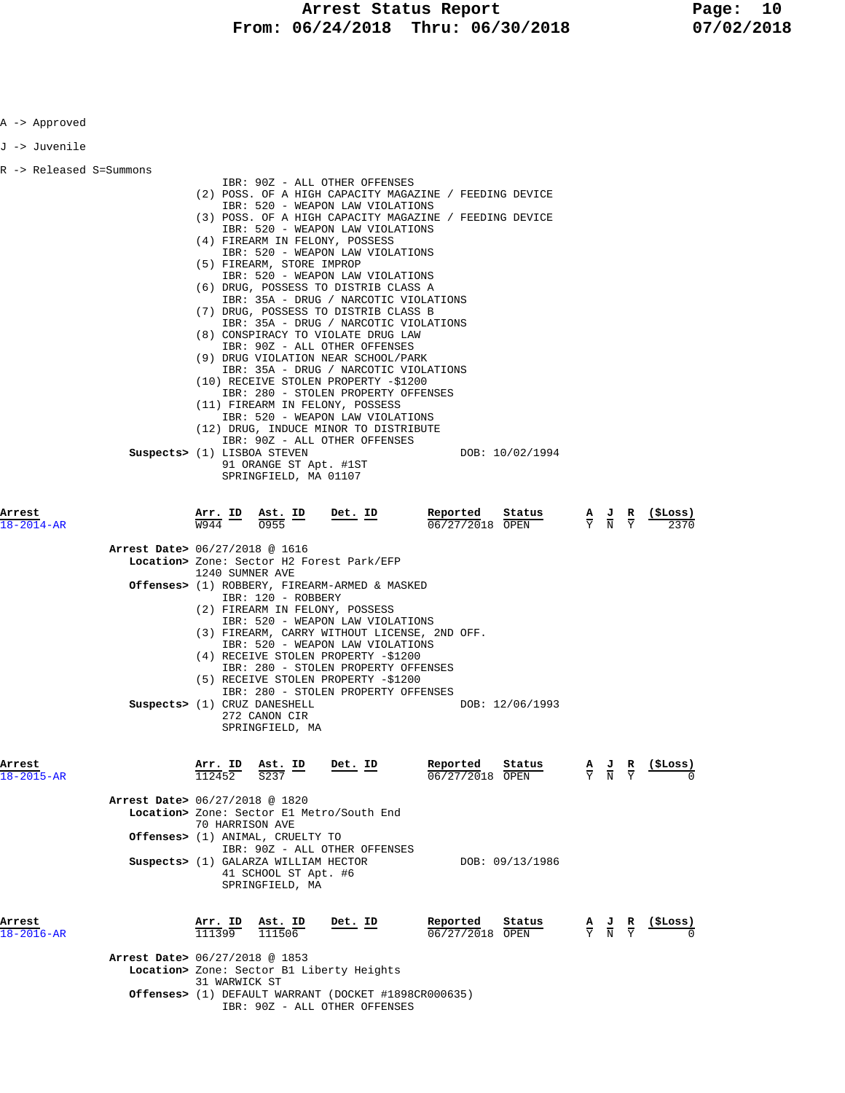A -> Approved

| J -> Juvenile             |                                                                                                                                                                                                                                                                                                                                                                                                                                                                                                                                                                                                                                                                                                                                                |
|---------------------------|------------------------------------------------------------------------------------------------------------------------------------------------------------------------------------------------------------------------------------------------------------------------------------------------------------------------------------------------------------------------------------------------------------------------------------------------------------------------------------------------------------------------------------------------------------------------------------------------------------------------------------------------------------------------------------------------------------------------------------------------|
| R -> Released S=Summons   | IBR: 90Z - ALL OTHER OFFENSES<br>(2) POSS. OF A HIGH CAPACITY MAGAZINE / FEEDING DEVICE<br>IBR: 520 - WEAPON LAW VIOLATIONS<br>(3) POSS. OF A HIGH CAPACITY MAGAZINE / FEEDING DEVICE<br>IBR: 520 - WEAPON LAW VIOLATIONS<br>(4) FIREARM IN FELONY, POSSESS<br>IBR: 520 - WEAPON LAW VIOLATIONS<br>(5) FIREARM, STORE IMPROP<br>IBR: 520 - WEAPON LAW VIOLATIONS<br>(6) DRUG, POSSESS TO DISTRIB CLASS A<br>IBR: 35A - DRUG / NARCOTIC VIOLATIONS<br>(7) DRUG, POSSESS TO DISTRIB CLASS B<br>IBR: 35A - DRUG / NARCOTIC VIOLATIONS<br>(8) CONSPIRACY TO VIOLATE DRUG LAW<br>IBR: 90Z - ALL OTHER OFFENSES                                                                                                                                      |
|                           | (9) DRUG VIOLATION NEAR SCHOOL/PARK<br>IBR: 35A - DRUG / NARCOTIC VIOLATIONS<br>(10) RECEIVE STOLEN PROPERTY -\$1200<br>IBR: 280 - STOLEN PROPERTY OFFENSES<br>(11) FIREARM IN FELONY, POSSESS<br>IBR: 520 - WEAPON LAW VIOLATIONS<br>(12) DRUG, INDUCE MINOR TO DISTRIBUTE<br>IBR: 90Z - ALL OTHER OFFENSES<br>Suspects> (1) LISBOA STEVEN<br>DOB: 10/02/1994<br>91 ORANGE ST Apt. #1ST<br>SPRINGFIELD, MA 01107                                                                                                                                                                                                                                                                                                                              |
| Arrest<br>18-2014-AR      | Reported<br>Arr. ID<br>Ast. ID<br>Det. ID<br>Status<br>$\frac{A}{Y}$ $\frac{J}{N}$ $\frac{R}{Y}$<br>(ŞLoss)<br>06/27/2018 OPEN<br>W944<br>0955<br><b>Arrest Date&gt;</b> 06/27/2018 @ 1616<br>Location> Zone: Sector H2 Forest Park/EFP<br>1240 SUMNER AVE<br>Offenses> (1) ROBBERY, FIREARM-ARMED & MASKED<br>IBR: 120 - ROBBERY<br>(2) FIREARM IN FELONY, POSSESS<br>IBR: 520 - WEAPON LAW VIOLATIONS<br>(3) FIREARM, CARRY WITHOUT LICENSE, 2ND OFF.<br>IBR: 520 - WEAPON LAW VIOLATIONS<br>(4) RECEIVE STOLEN PROPERTY -\$1200<br>IBR: 280 - STOLEN PROPERTY OFFENSES<br>(5) RECEIVE STOLEN PROPERTY -\$1200<br>IBR: 280 - STOLEN PROPERTY OFFENSES<br>Suspects> (1) CRUZ DANESHELL<br>DOB: 12/06/1993<br>272 CANON CIR<br>SPRINGFIELD, MA |
| Arrest<br>$8 - 2015 - AR$ | Det. ID<br>Reported<br>$(_{\rm{SLOSS}})$<br><u>Ast. ID</u><br>Status<br><u>Arr. ID</u><br>$\frac{\mathbf{A}}{\mathbf{Y}}$ $\frac{\mathbf{J}}{\mathbf{N}}$ $\frac{\mathbf{R}}{\mathbf{Y}}$<br>06/27/2018 OPEN<br>Arrest Date> 06/27/2018 @ 1820<br>Location> Zone: Sector El Metro/South End<br>70 HARRISON AVE<br>Offenses> (1) ANIMAL, CRUELTY TO<br>IBR: 90Z - ALL OTHER OFFENSES<br>Suspects> (1) GALARZA WILLIAM HECTOR<br>DOB: 09/13/1986<br>41 SCHOOL ST Apt. #6<br>SPRINGFIELD, MA                                                                                                                                                                                                                                                      |
| Arrest<br>$8 - 2016 - AR$ | Det. ID<br>Reported<br>$\frac{\text{Arr.}}{111399}$<br>$\frac{\texttt{Ast. ID}}{111506}$<br>Status<br>(SLoss)<br>$\frac{\mathbf{A}}{\mathbf{Y}}$ $\frac{\mathbf{J}}{\mathbf{N}}$ $\frac{\mathbf{R}}{\mathbf{Y}}$<br>06/27/2018 OPEN<br>Arrest Date> 06/27/2018 @ 1853<br>Location> Zone: Sector B1 Liberty Heights<br>31 WARWICK ST<br><b>Offenses&gt;</b> (1) DEFAULT WARRANT (DOCKET #1898CR000635)<br>IBR: 90Z - ALL OTHER OFFENSES                                                                                                                                                                                                                                                                                                         |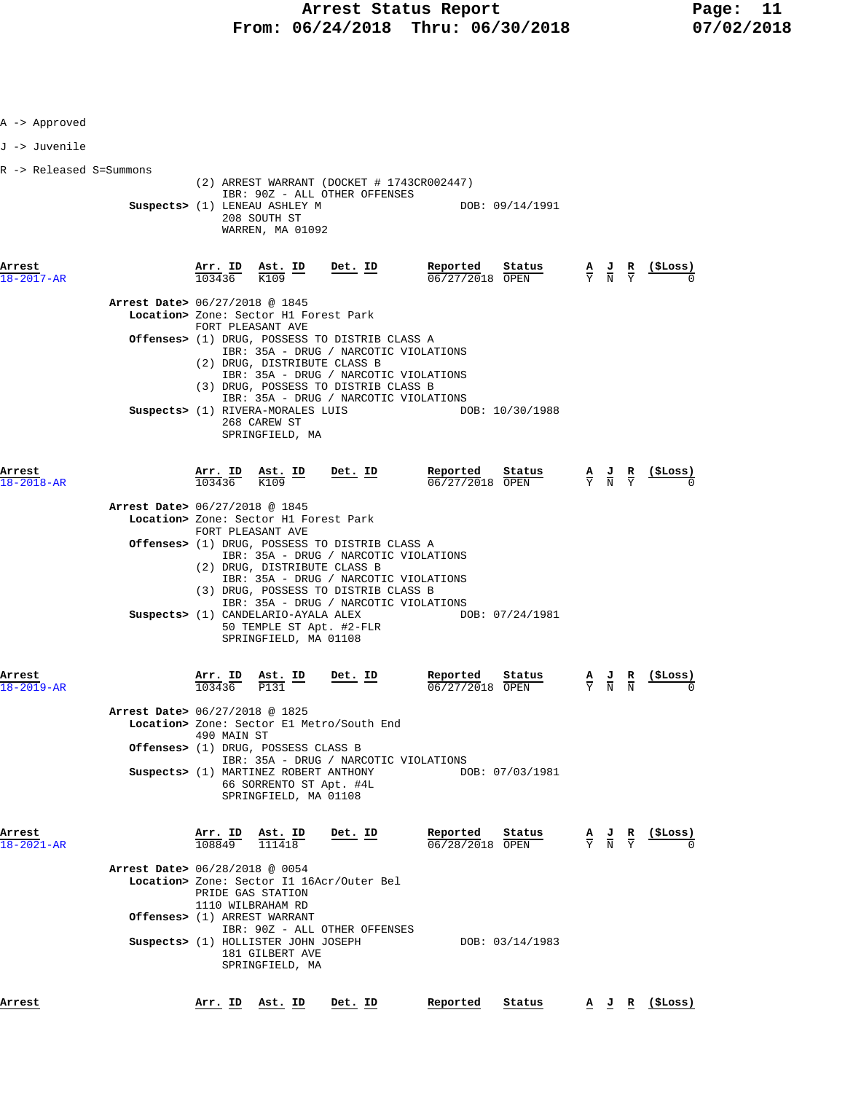| A -> Approved              |                                |                   |                                                                                            |                                                                                                                                                                                                                   |                                         |                                           |                                                                         |
|----------------------------|--------------------------------|-------------------|--------------------------------------------------------------------------------------------|-------------------------------------------------------------------------------------------------------------------------------------------------------------------------------------------------------------------|-----------------------------------------|-------------------------------------------|-------------------------------------------------------------------------|
| J -> Juvenile              |                                |                   |                                                                                            |                                                                                                                                                                                                                   |                                         |                                           |                                                                         |
| R -> Released S=Summons    |                                |                   | Suspects> (1) LENEAU ASHLEY M<br>208 SOUTH ST<br>WARREN, MA 01092                          | (2) ARREST WARRANT (DOCKET # 1743CR002447)<br>IBR: 90Z - ALL OTHER OFFENSES                                                                                                                                       | DOB: 09/14/1991                         |                                           |                                                                         |
| Arrest<br>$18 - 2017 - AR$ |                                |                   | $\frac{\texttt{Arr.}}{103436}$ $\frac{\texttt{Ab.}}{K109}$ $\frac{\texttt{ID}}{K109}$      | Det. ID                                                                                                                                                                                                           | Reported<br>Status<br>$06/27/2018$ OPEN |                                           | $\frac{A}{Y}$ $\frac{J}{N}$ $\frac{R}{Y}$ $\frac{(\xi \text{Loss})}{N}$ |
|                            | Arrest Date> 06/27/2018 @ 1845 |                   | Location> Zone: Sector H1 Forest Park<br>FORT PLEASANT AVE<br>(2) DRUG, DISTRIBUTE CLASS B | Offenses> (1) DRUG, POSSESS TO DISTRIB CLASS A<br>IBR: 35A - DRUG / NARCOTIC VIOLATIONS<br>IBR: 35A - DRUG / NARCOTIC VIOLATIONS                                                                                  |                                         |                                           |                                                                         |
|                            |                                |                   | Suspects> (1) RIVERA-MORALES LUIS<br>268 CAREW ST<br>SPRINGFIELD, MA                       | (3) DRUG, POSSESS TO DISTRIB CLASS B<br>IBR: 35A - DRUG / NARCOTIC VIOLATIONS                                                                                                                                     | DOB: 10/30/1988                         |                                           |                                                                         |
| Arrest<br>18-2018-AR       |                                | 103436            | $\frac{\text{Arr.}}{\text{--}}$ in $\frac{\text{ast.}}{\text{--}}$ in<br>K109              | Det. ID                                                                                                                                                                                                           | Reported<br>Status<br>06/27/2018 OPEN   | $\frac{A}{Y}$ $\frac{J}{N}$ $\frac{R}{Y}$ | <u>(SLoss)</u>                                                          |
|                            | Arrest Date> 06/27/2018 @ 1845 |                   | Location> Zone: Sector H1 Forest Park                                                      |                                                                                                                                                                                                                   |                                         |                                           |                                                                         |
|                            |                                |                   | FORT PLEASANT AVE<br>(2) DRUG, DISTRIBUTE CLASS B                                          | Offenses> (1) DRUG, POSSESS TO DISTRIB CLASS A<br>IBR: 35A - DRUG / NARCOTIC VIOLATIONS<br>IBR: 35A - DRUG / NARCOTIC VIOLATIONS<br>(3) DRUG, POSSESS TO DISTRIB CLASS B<br>IBR: 35A - DRUG / NARCOTIC VIOLATIONS |                                         |                                           |                                                                         |
|                            |                                |                   | Suspects> (1) CANDELARIO-AYALA ALEX<br>SPRINGFIELD, MA 01108                               | 50 TEMPLE ST Apt. #2-FLR                                                                                                                                                                                          | DOB: 07/24/1981                         |                                           |                                                                         |
| Arrest<br>18-2019-AR       | Arrest Date> 06/27/2018 @ 1825 | Arr. ID<br>103436 | <u>Ast. ID</u><br>P131                                                                     | <u>Det. ID</u><br>Location> Zone: Sector El Metro/South End                                                                                                                                                       | Reported<br>Status<br>06/27/2018 OPEN   | $\frac{A}{Y}$ $\frac{J}{N}$               | (ŞLoss)                                                                 |
|                            |                                | 490 MAIN ST       | Offenses> (1) DRUG, POSSESS CLASS B                                                        |                                                                                                                                                                                                                   |                                         |                                           |                                                                         |
|                            |                                |                   | Suspects> (1) MARTINEZ ROBERT ANTHONY<br>66 SORRENTO ST Apt. #4L<br>SPRINGFIELD, MA 01108  | IBR: 35A - DRUG / NARCOTIC VIOLATIONS                                                                                                                                                                             | DOB: 07/03/1981                         |                                           |                                                                         |
| Arrest<br>18-2021-AR       |                                |                   | Arr. ID Ast. ID<br>108849 111418                                                           | Det. ID                                                                                                                                                                                                           | Reported<br>Status<br>06/28/2018 OPEN   | $\frac{A}{Y}$ $\frac{J}{N}$ $\frac{R}{Y}$ | (\$Loss)                                                                |
|                            | Arrest Date> 06/28/2018 @ 0054 |                   | PRIDE GAS STATION<br>1110 WILBRAHAM RD<br>Offenses> (1) ARREST WARRANT                     | Location> Zone: Sector I1 16Acr/Outer Bel                                                                                                                                                                         |                                         |                                           |                                                                         |
|                            |                                |                   | Suspects> (1) HOLLISTER JOHN JOSEPH<br>181 GILBERT AVE<br>SPRINGFIELD, MA                  | IBR: 90Z - ALL OTHER OFFENSES                                                                                                                                                                                     | DOB: 03/14/1983                         |                                           |                                                                         |
| Arrest                     |                                |                   | Arr. ID Ast. ID                                                                            | Det. ID                                                                                                                                                                                                           | Reported<br>Status                      |                                           | $\underline{A}$ $\underline{J}$ $\underline{R}$ (\$Loss)                |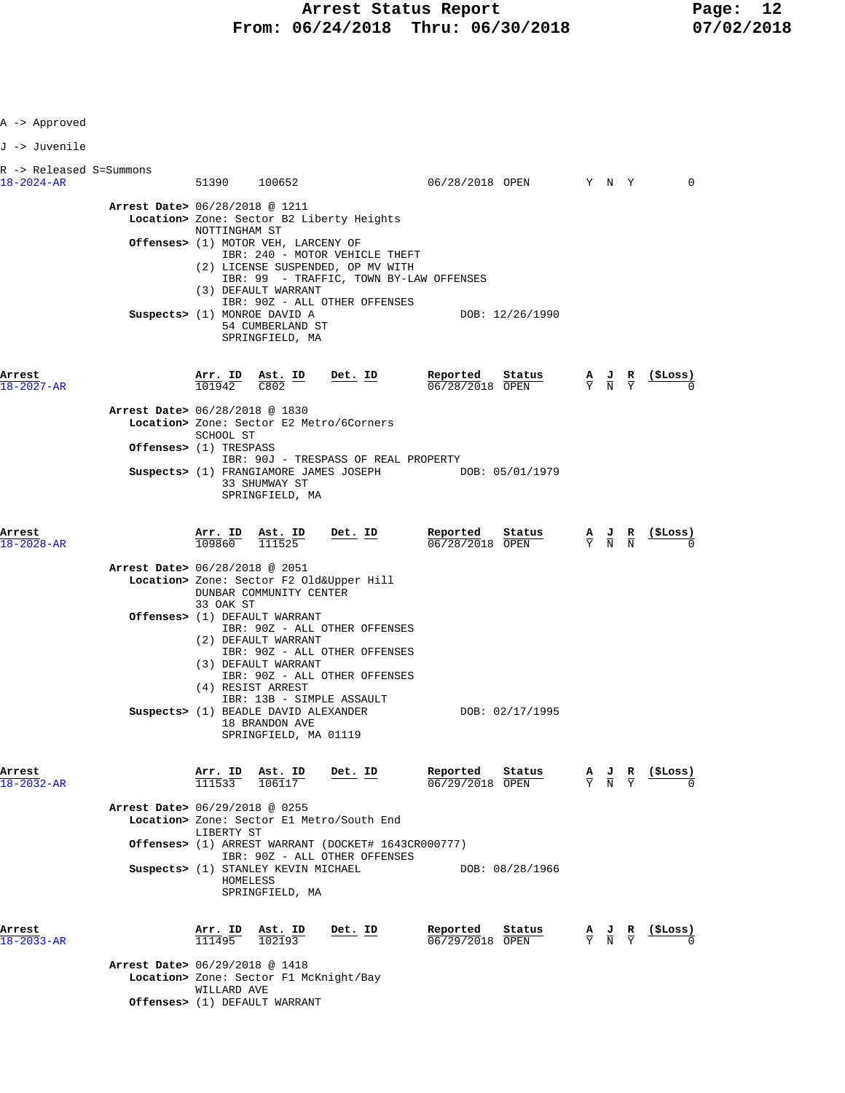**Arrest Status Report** Page: 12<br>16/24/2018 Thru: 06/30/2018 07/02/2018 **From: 06/24/2018 Thru: 06/30/2018** 

| A -> Approved                               |                                |                                                                 |                                                                                                            |                                                                                                               |                                                        |                                           |  |                |
|---------------------------------------------|--------------------------------|-----------------------------------------------------------------|------------------------------------------------------------------------------------------------------------|---------------------------------------------------------------------------------------------------------------|--------------------------------------------------------|-------------------------------------------|--|----------------|
| J -> Juvenile                               |                                |                                                                 |                                                                                                            |                                                                                                               |                                                        |                                           |  |                |
| R -> Released S=Summons<br>$18 - 2024 - AR$ |                                | 51390 100652                                                    |                                                                                                            |                                                                                                               | 06/28/2018 OPEN Y N Y                                  |                                           |  | 0              |
|                                             | Arrest Date> 06/28/2018 @ 1211 | NOTTINGHAM ST                                                   |                                                                                                            | Location> Zone: Sector B2 Liberty Heights                                                                     |                                                        |                                           |  |                |
|                                             |                                |                                                                 | Offenses> (1) MOTOR VEH, LARCENY OF                                                                        | IBR: 240 - MOTOR VEHICLE THEFT                                                                                |                                                        |                                           |  |                |
|                                             |                                |                                                                 | (3) DEFAULT WARRANT<br>Suspects> (1) MONROE DAVID A<br>54 CUMBERLAND ST<br>SPRINGFIELD, MA                 | (2) LICENSE SUSPENDED, OP MV WITH<br>IBR: 99 - TRAFFIC, TOWN BY-LAW OFFENSES<br>IBR: 90Z - ALL OTHER OFFENSES | DOB: 12/26/1990                                        |                                           |  |                |
| Arrest<br>18-2027-AR                        |                                |                                                                 | $\frac{\texttt{Arr.}}{101942}$ $\frac{\texttt{Ab.}}{C802}$ $\frac{\texttt{ID}}{C}$                         | <u>Det. ID</u>                                                                                                | Reported<br>Status<br>$06/28/2018$ OPEN                | $\frac{A}{Y}$ $\frac{J}{N}$ $\frac{R}{Y}$ |  | <u>(SLoss)</u> |
|                                             | Arrest Date> 06/28/2018 @ 1830 | SCHOOL ST                                                       |                                                                                                            | Location> Zone: Sector E2 Metro/6Corners                                                                      |                                                        |                                           |  |                |
|                                             | Offenses> (1) TRESPASS         |                                                                 | 33 SHUMWAY ST<br>SPRINGFIELD, MA                                                                           | IBR: 90J - TRESPASS OF REAL PROPERTY                                                                          | Suspects> (1) FRANGIAMORE JAMES JOSEPH DOB: 05/01/1979 |                                           |  |                |
| Arrest<br>$18 - 2028 - AR$                  |                                | $\frac{\text{Arr. ID}}{109860}$ $\frac{\text{Ast. ID}}{111525}$ | Ast. ID                                                                                                    | Det. ID                                                                                                       | Reported Status<br>06/28/2018 OPEN                     | $\frac{A}{Y}$ $\frac{J}{N}$ $\frac{R}{N}$ |  | $\frac{15}{2}$ |
|                                             | Arrest Date> 06/28/2018 @ 2051 | 33 OAK ST                                                       | DUNBAR COMMUNITY CENTER                                                                                    | Location> Zone: Sector F2 Old&Upper Hill                                                                      |                                                        |                                           |  |                |
|                                             |                                |                                                                 | <b>Offenses&gt;</b> (1) DEFAULT WARRANT<br>(2) DEFAULT WARRANT<br>(3) DEFAULT WARRANT<br>(4) RESIST ARREST | IBR: 90Z - ALL OTHER OFFENSES<br>IBR: 90Z - ALL OTHER OFFENSES<br>IBR: 90Z - ALL OTHER OFFENSES               |                                                        |                                           |  |                |
|                                             |                                |                                                                 | Suspects> (1) BEADLE DAVID ALEXANDER<br>18 BRANDON AVE<br>SPRINGFIELD, MA 01119                            | IBR: 13B - SIMPLE ASSAULT                                                                                     | DOB: 02/17/1995                                        |                                           |  |                |
| Arrest<br>18-2032-AR                        |                                | $\frac{\texttt{Arr.}}{111533}$ $\frac{\texttt{ Ast.}}{106117}$  | Ast. ID                                                                                                    | $Det$ . ID                                                                                                    | Reported<br>Status<br>06/29/2018 OPEN                  | $\frac{A}{Y}$ $\frac{J}{N}$ $\frac{R}{Y}$ |  | (\$Loss)       |
|                                             | Arrest Date> 06/29/2018 @ 0255 | LIBERTY ST                                                      |                                                                                                            | Location> Zone: Sector El Metro/South End                                                                     |                                                        |                                           |  |                |
|                                             |                                |                                                                 |                                                                                                            | <b>Offenses&gt;</b> (1) ARREST WARRANT (DOCKET# 1643CR000777)<br>IBR: 90Z - ALL OTHER OFFENSES                |                                                        |                                           |  |                |
|                                             |                                | HOMELESS                                                        | Suspects> (1) STANLEY KEVIN MICHAEL<br>SPRINGFIELD, MA                                                     |                                                                                                               | DOB: 08/28/1966                                        |                                           |  |                |
| Arrest<br>$18 - 2033 - AR$                  |                                |                                                                 | $\frac{\text{Arr. ID}}{111495}$ $\frac{\text{Ast. ID}}{102193}$                                            | Det. ID                                                                                                       | Reported<br>Status<br>$06/29/2018$ OPEN                | $\frac{A}{Y}$ $\frac{J}{N}$ $\frac{R}{Y}$ |  | (\$Loss)       |
|                                             | Arrest Date> 06/29/2018 @ 1418 | WILLARD AVE                                                     | Location> Zone: Sector F1 McKnight/Bay                                                                     |                                                                                                               |                                                        |                                           |  |                |
|                                             |                                |                                                                 | Offenses> (1) DEFAULT WARRANT                                                                              |                                                                                                               |                                                        |                                           |  |                |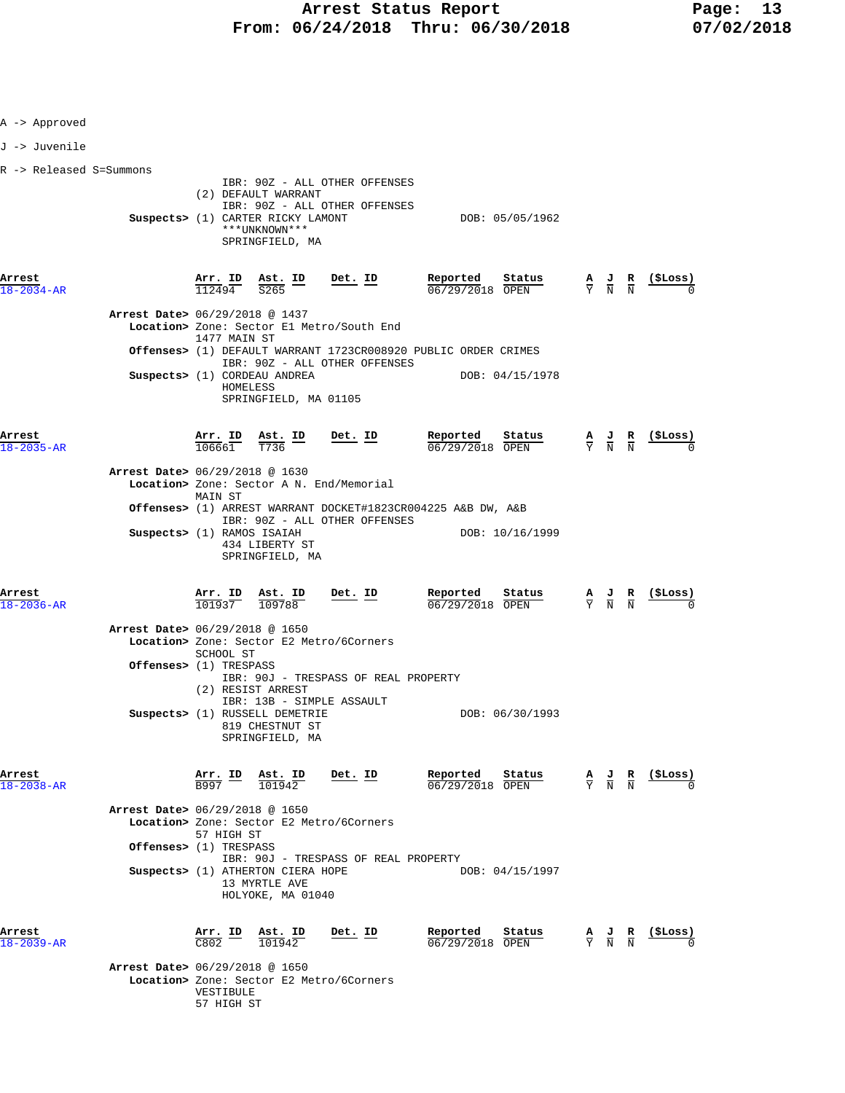| A -> Approved              |                                                                    |                                                                        |                                                                                                                                                                |            |                 |                                                           |                                                                                                 |                                                               |
|----------------------------|--------------------------------------------------------------------|------------------------------------------------------------------------|----------------------------------------------------------------------------------------------------------------------------------------------------------------|------------|-----------------|-----------------------------------------------------------|-------------------------------------------------------------------------------------------------|---------------------------------------------------------------|
| J -> Juvenile              |                                                                    |                                                                        |                                                                                                                                                                |            |                 |                                                           |                                                                                                 |                                                               |
| R -> Released S=Summons    |                                                                    |                                                                        |                                                                                                                                                                |            |                 |                                                           |                                                                                                 |                                                               |
|                            |                                                                    |                                                                        | IBR: 90Z - ALL OTHER OFFENSES<br>(2) DEFAULT WARRANT<br>IBR: 90Z - ALL OTHER OFFENSES<br>Suspects> (1) CARTER RICKY LAMONT<br>***UNKNOWN***<br>SPRINGFIELD, MA |            |                 | DOB: 05/05/1962                                           |                                                                                                 |                                                               |
| Arrest<br>$18 - 2034 - AR$ |                                                                    |                                                                        | $\frac{\text{Arr.}}{112494}$ $\frac{\text{Ast.}}{S265}$ $\frac{\text{ID}}{\text{D}}$                                                                           | Det. ID    | Reported        | $\frac{\text{Status}}{\text{start}}$<br>$06/29/2018$ OPEN | $\frac{\mathbf{A}}{\mathbf{Y}}$ $\frac{\mathbf{J}}{\mathbf{N}}$ $\frac{\mathbf{R}}{\mathbf{N}}$ | <u>(\$Loss)</u>                                               |
|                            | Arrest Date> 06/29/2018 @ 1437                                     |                                                                        | Location> Zone: Sector El Metro/South End                                                                                                                      |            |                 |                                                           |                                                                                                 |                                                               |
|                            |                                                                    | 1477 MAIN ST                                                           | Offenses> (1) DEFAULT WARRANT 1723CR008920 PUBLIC ORDER CRIMES                                                                                                 |            |                 |                                                           |                                                                                                 |                                                               |
|                            |                                                                    |                                                                        | IBR: 90Z - ALL OTHER OFFENSES<br>Suspects> (1) CORDEAU ANDREA<br>HOMELESS<br>SPRINGFIELD, MA 01105                                                             |            |                 | DOB: 04/15/1978                                           |                                                                                                 |                                                               |
| Arrest<br>$18 - 2035 - AR$ |                                                                    |                                                                        | $\frac{\text{Arr.}}{106661}$ $\frac{\text{Ast.}}{T736}$ ID Det. ID                                                                                             |            | <u>Reported</u> | Status<br>06/29/2018 OPEN                                 |                                                                                                 | $\frac{A}{Y}$ $\frac{J}{N}$ $\frac{R}{N}$ (\$Loss)            |
|                            | Arrest Date> 06/29/2018 @ 1630                                     |                                                                        | Location> Zone: Sector A N. End/Memorial                                                                                                                       |            |                 |                                                           |                                                                                                 |                                                               |
|                            |                                                                    | MAIN ST                                                                | Offenses> (1) ARREST WARRANT DOCKET#1823CR004225 A&B DW, A&B                                                                                                   |            |                 |                                                           |                                                                                                 |                                                               |
|                            | Suspects> (1) RAMOS ISAIAH                                         |                                                                        | IBR: 90Z - ALL OTHER OFFENSES<br>434 LIBERTY ST<br>SPRINGFIELD, MA                                                                                             |            |                 | DOB: 10/16/1999                                           |                                                                                                 |                                                               |
| Arrest<br>18-2036-AR       |                                                                    |                                                                        | $\frac{\text{Arr. ID}}{101937}$ $\frac{\text{Ast. ID}}{109788}$                                                                                                | $Det$ . ID |                 | Reported Status<br>$\frac{06}{29/29/2018}$ OPEN           | $\frac{A}{Y}$ $\frac{J}{N}$ $\frac{R}{N}$                                                       | $(\$Loss)$                                                    |
|                            | Arrest Date> 06/29/2018 @ 1650<br><b>Offenses&gt;</b> (1) TRESPASS | SCHOOL ST                                                              | Location> Zone: Sector E2 Metro/6Corners                                                                                                                       |            |                 |                                                           |                                                                                                 |                                                               |
|                            |                                                                    |                                                                        | IBR: 90J - TRESPASS OF REAL PROPERTY<br>(2) RESIST ARREST<br>IBR: 13B - SIMPLE ASSAULT<br>Suspects> (1) RUSSELL DEMETRIE<br>819 CHESTNUT ST                    |            |                 | DOB: 06/30/1993                                           |                                                                                                 |                                                               |
| Arrest<br>$18 - 2038 - AR$ |                                                                    |                                                                        | SPRINGFIELD, MA<br>$\frac{\texttt{Arr.}}{\texttt{B997}}$ $\frac{\texttt{Ab.}}{\texttt{101942}}$                                                                | Det. ID    | Reported        | Status<br>06/29/2018 OPEN                                 |                                                                                                 | $\frac{A}{Y}$ $\frac{J}{N}$ $\frac{R}{N}$ $\frac{($Loss)}{0}$ |
|                            | Arrest Date> 06/29/2018 @ 1650<br>Offenses> (1) TRESPASS           | 57 HIGH ST                                                             | Location> Zone: Sector E2 Metro/6Corners                                                                                                                       |            |                 |                                                           |                                                                                                 |                                                               |
|                            |                                                                    |                                                                        | IBR: 90J - TRESPASS OF REAL PROPERTY<br>Suspects> (1) ATHERTON CIERA HOPE<br>13 MYRTLE AVE<br>HOLYOKE, MA 01040                                                |            |                 | DOB: 04/15/1997                                           |                                                                                                 |                                                               |
| Arrest<br>$18 - 2039 - AR$ | Arrest Date> 06/29/2018 @ 1650                                     | $\frac{\texttt{Arr.}}{\texttt{C802}}$ $\frac{\texttt{ID}}{\texttt{D}}$ | $\frac{\texttt{Ast. ID}}{101942}$                                                                                                                              | Det. ID    | Reported        | Status<br>06/29/2018 OPEN                                 | $\frac{A}{Y}$ $\frac{J}{N}$ $\frac{R}{N}$                                                       | (\$Loss)                                                      |
|                            |                                                                    | VESTIBULE                                                              | Location> Zone: Sector E2 Metro/6Corners                                                                                                                       |            |                 |                                                           |                                                                                                 |                                                               |

57 HIGH ST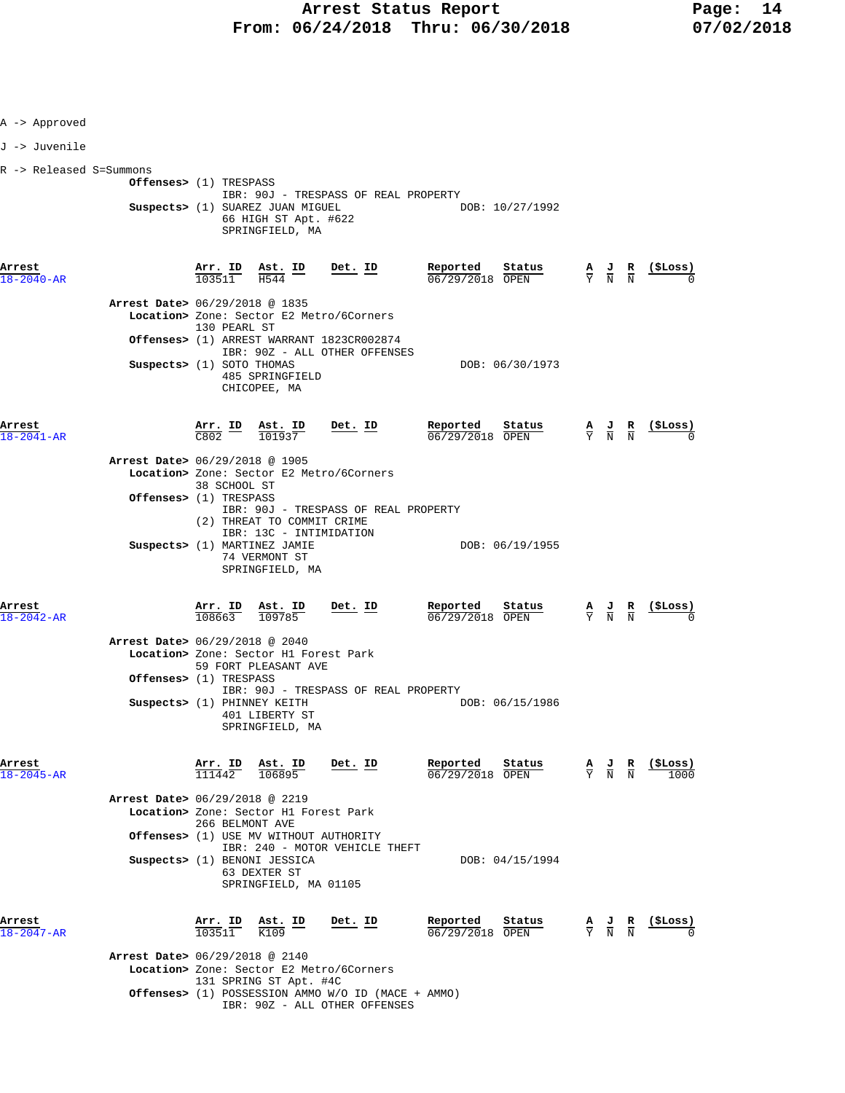| A -> Approved              |                                                                    |                   |                                                                                                                           |                                                                                                                                |                                                       |                                                                                                 |                                           |                                                               |
|----------------------------|--------------------------------------------------------------------|-------------------|---------------------------------------------------------------------------------------------------------------------------|--------------------------------------------------------------------------------------------------------------------------------|-------------------------------------------------------|-------------------------------------------------------------------------------------------------|-------------------------------------------|---------------------------------------------------------------|
| J -> Juvenile              |                                                                    |                   |                                                                                                                           |                                                                                                                                |                                                       |                                                                                                 |                                           |                                                               |
| R -> Released S=Summons    | Offenses> (1) TRESPASS                                             |                   | Suspects> (1) SUAREZ JUAN MIGUEL<br>66 HIGH ST Apt. #622<br>SPRINGFIELD, MA                                               | IBR: 90J - TRESPASS OF REAL PROPERTY                                                                                           | DOB: 10/27/1992                                       |                                                                                                 |                                           |                                                               |
| Arrest<br>$18 - 2040 - AR$ |                                                                    |                   |                                                                                                                           | $\frac{\texttt{Arr.}}{103511}$ $\frac{\texttt{Ast.}}{\texttt{H544}}$ $\frac{\texttt{ID}}{2011}$ $\frac{\texttt{Det.}}{103511}$ |                                                       |                                                                                                 |                                           |                                                               |
|                            | Arrest Date> 06/29/2018 @ 1835                                     | 130 PEARL ST      |                                                                                                                           | Location> Zone: Sector E2 Metro/6Corners<br>Offenses> (1) ARREST WARRANT 1823CR002874<br>IBR: 90Z - ALL OTHER OFFENSES         |                                                       |                                                                                                 |                                           |                                                               |
|                            | Suspects> (1) SOTO THOMAS                                          |                   | 485 SPRINGFIELD<br>CHICOPEE, MA                                                                                           |                                                                                                                                | DOB: 06/30/1973                                       |                                                                                                 |                                           |                                                               |
| Arrest<br>$18 - 2041 - AR$ |                                                                    |                   |                                                                                                                           | $\frac{\texttt{Arr.}}{\texttt{C802}}$ ID $\frac{\texttt{Ast.}}{101937}$ Det. ID                                                | <u>Reported</u><br><u>Status</u><br>06/29/2018 OPEN   |                                                                                                 |                                           | $\frac{A}{Y}$ $\frac{J}{N}$ $\frac{R}{N}$ $\frac{($Loss)}{0}$ |
|                            | Arrest Date> 06/29/2018 @ 1905<br>Offenses> (1) TRESPASS           | 38 SCHOOL ST      |                                                                                                                           | Location> Zone: Sector E2 Metro/6Corners                                                                                       |                                                       |                                                                                                 |                                           |                                                               |
|                            |                                                                    |                   | (2) THREAT TO COMMIT CRIME<br>IBR: 13C - INTIMIDATION<br>Suspects> (1) MARTINEZ JAMIE<br>74 VERMONT ST<br>SPRINGFIELD, MA | IBR: 90J - TRESPASS OF REAL PROPERTY                                                                                           | DOB: 06/19/1955                                       |                                                                                                 |                                           |                                                               |
| Arrest<br>18-2042-AR       |                                                                    |                   | $\frac{\texttt{Arr.}}{108663}$ $\frac{\texttt{Ab.}}{109785}$                                                              | <u>Det. ID</u>                                                                                                                 | $\frac{\text{Reported}}{06/29/2018}$ Status<br>Status |                                                                                                 |                                           | $\frac{A}{Y}$ $\frac{J}{N}$ $\frac{R}{N}$ $\frac{($Loss)}{0}$ |
|                            | Arrest Date> 06/29/2018 @ 2040<br><b>Offenses&gt;</b> (1) TRESPASS |                   | Location> Zone: Sector H1 Forest Park<br>59 FORT PLEASANT AVE                                                             |                                                                                                                                |                                                       |                                                                                                 |                                           |                                                               |
|                            | Suspects> (1) PHINNEY KEITH                                        |                   | 401 LIBERTY ST<br>SPRINGFIELD, MA                                                                                         | IBR: 90J - TRESPASS OF REAL PROPERTY                                                                                           | DOB: 06/15/1986                                       |                                                                                                 |                                           |                                                               |
| Arrest<br>$18 - 2045 - AR$ |                                                                    |                   | $\frac{\texttt{Arr.}}{111442}$ $\frac{\texttt{Ast.}}{106895}$                                                             | <u>Det. ID</u>                                                                                                                 | Reported<br><u>Status</u><br>06/29/2018 OPEN          | $\frac{\mathbf{A}}{\mathbf{Y}}$ $\frac{\mathbf{J}}{\mathbf{N}}$ $\frac{\mathbf{R}}{\mathbf{N}}$ |                                           | $(\$ Loss)1000$                                               |
|                            | Arrest Date> 06/29/2018 @ 2219                                     | 266 BELMONT AVE   | Location> Zone: Sector H1 Forest Park                                                                                     |                                                                                                                                |                                                       |                                                                                                 |                                           |                                                               |
|                            |                                                                    |                   | Offenses> (1) USE MV WITHOUT AUTHORITY<br>Suspects> (1) BENONI JESSICA<br>63 DEXTER ST<br>SPRINGFIELD, MA 01105           | IBR: 240 - MOTOR VEHICLE THEFT                                                                                                 | DOB: 04/15/1994                                       |                                                                                                 |                                           |                                                               |
| Arrest<br>18-2047-AR       |                                                                    | Arr. ID<br>103511 | Ast. ID<br>K109                                                                                                           | Det. ID                                                                                                                        | Reported<br>Status<br>06/29/2018 OPEN                 |                                                                                                 | $\frac{A}{Y}$ $\frac{J}{N}$ $\frac{R}{N}$ | (ŞLoss)                                                       |
|                            | Arrest Date> 06/29/2018 @ 2140                                     |                   | 131 SPRING ST Apt. #4C                                                                                                    | Location> Zone: Sector E2 Metro/6Corners                                                                                       |                                                       |                                                                                                 |                                           |                                                               |
|                            |                                                                    |                   |                                                                                                                           | Offenses> (1) POSSESSION AMMO W/O ID (MACE + AMMO)<br>IBR: 90Z - ALL OTHER OFFENSES                                            |                                                       |                                                                                                 |                                           |                                                               |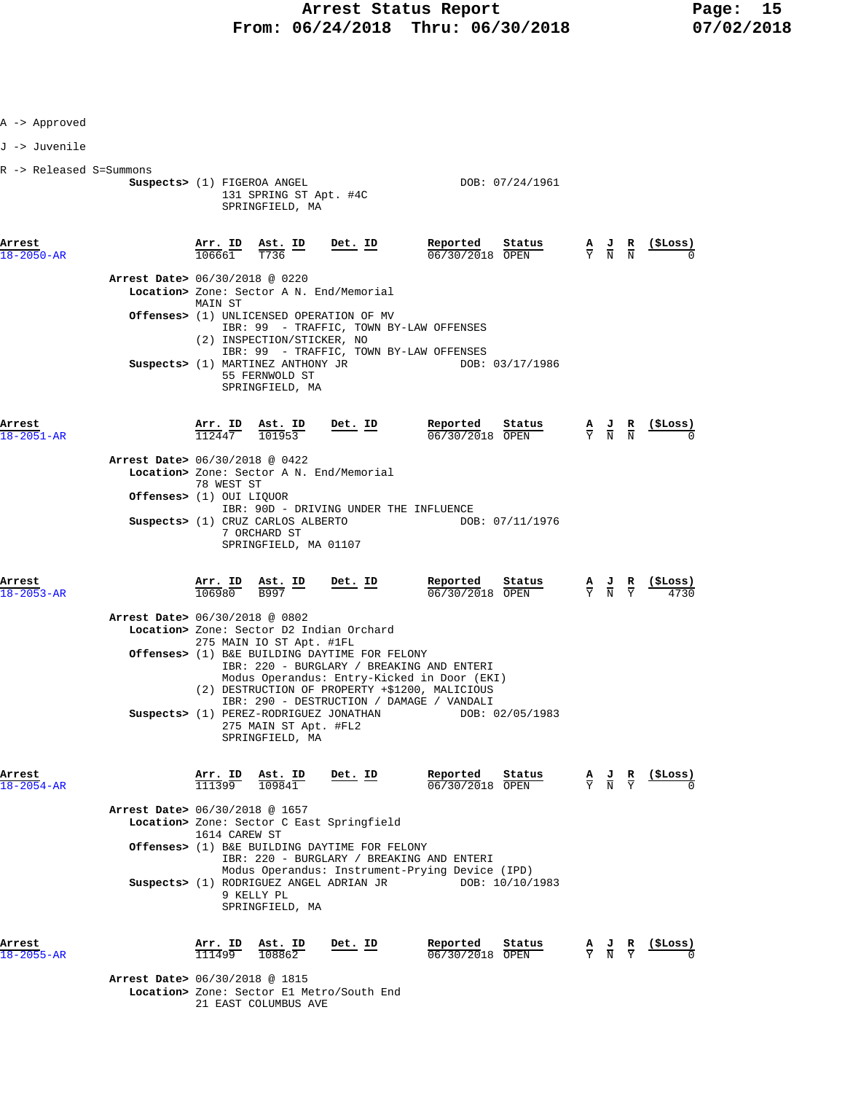| A -> Approved              |                                          |                                   |                                                                                                                            |                |                                                                                                                                            |                                                                                            |                                                                                                 |                                                                                                 |                                                               |
|----------------------------|------------------------------------------|-----------------------------------|----------------------------------------------------------------------------------------------------------------------------|----------------|--------------------------------------------------------------------------------------------------------------------------------------------|--------------------------------------------------------------------------------------------|-------------------------------------------------------------------------------------------------|-------------------------------------------------------------------------------------------------|---------------------------------------------------------------|
| J -> Juvenile              |                                          |                                   |                                                                                                                            |                |                                                                                                                                            |                                                                                            |                                                                                                 |                                                                                                 |                                                               |
| R -> Released S=Summons    |                                          |                                   | Suspects> (1) FIGEROA ANGEL<br>131 SPRING ST Apt. #4C<br>SPRINGFIELD, MA                                                   |                |                                                                                                                                            | DOB: 07/24/1961                                                                            |                                                                                                 |                                                                                                 |                                                               |
| Arrest<br>18-2050-AR       |                                          |                                   | $\frac{\texttt{Arr. ID}}{106661}$ $\frac{\texttt{Ast. ID}}{T736}$ $\frac{\texttt{Det. ID}}{T}$                             |                |                                                                                                                                            | <b>Reported</b> Status $A$ J R (\$Loss) $0.6/30/2018$ OPEN $\frac{1}{Y}$ N N $\frac{1}{N}$ |                                                                                                 |                                                                                                 |                                                               |
|                            | Arrest Date> 06/30/2018 @ 0220           |                                   | Location> Zone: Sector A N. End/Memorial                                                                                   |                |                                                                                                                                            |                                                                                            |                                                                                                 |                                                                                                 |                                                               |
|                            |                                          | MAIN ST                           |                                                                                                                            |                |                                                                                                                                            |                                                                                            |                                                                                                 |                                                                                                 |                                                               |
|                            |                                          |                                   | <b>Offenses&gt;</b> (1) UNLICENSED OPERATION OF MV<br>IBR: 99 - TRAFFIC, TOWN BY-LAW OFFENSES                              |                |                                                                                                                                            |                                                                                            |                                                                                                 |                                                                                                 |                                                               |
|                            |                                          |                                   | (2) INSPECTION/STICKER, NO<br>IBR: 99 - TRAFFIC, TOWN BY-LAW OFFENSES                                                      |                |                                                                                                                                            |                                                                                            |                                                                                                 |                                                                                                 |                                                               |
|                            |                                          |                                   | Suspects> (1) MARTINEZ ANTHONY JR<br>55 FERNWOLD ST<br>SPRINGFIELD, MA                                                     |                |                                                                                                                                            | DOB: 03/17/1986                                                                            |                                                                                                 |                                                                                                 |                                                               |
| Arrest<br>18-2051-AR       |                                          | $\frac{\texttt{Arr. ID}}{112447}$ | $\frac{\texttt{Ast. ID}}{101953}$                                                                                          | $Det. ID$      | Reported                                                                                                                                   | <b>Reported</b> Status $\frac{A}{06/30/2018}$ $\frac{B}{000}$                              |                                                                                                 |                                                                                                 | (SLoss)                                                       |
|                            | Arrest Date> 06/30/2018 @ 0422           |                                   | Location> Zone: Sector A N. End/Memorial                                                                                   |                |                                                                                                                                            |                                                                                            |                                                                                                 |                                                                                                 |                                                               |
|                            | Offenses> (1) OUI LIQUOR                 | 78 WEST ST                        |                                                                                                                            |                |                                                                                                                                            |                                                                                            |                                                                                                 |                                                                                                 |                                                               |
|                            |                                          |                                   | IBR: 90D - DRIVING UNDER THE INFLUENCE                                                                                     |                |                                                                                                                                            |                                                                                            |                                                                                                 |                                                                                                 |                                                               |
|                            |                                          |                                   | Suspects> (1) CRUZ CARLOS ALBERTO<br>7 ORCHARD ST<br>SPRINGFIELD, MA 01107                                                 |                |                                                                                                                                            | DOB: 07/11/1976                                                                            |                                                                                                 |                                                                                                 |                                                               |
| Arrest<br>$18 - 2053 - AR$ |                                          |                                   | $\frac{\text{Arr.}}{106980}$ $\frac{\text{Ast.}}{\text{B997}}$ $\frac{\text{ID}}{\text{D}}$ $\frac{\text{Det.}}{\text{D}}$ |                | $\frac{\text{Reported}}{06/30/2018}$ Status                                                                                                |                                                                                            |                                                                                                 | $\frac{\mathbf{A}}{\mathbf{Y}}$ $\frac{\mathbf{J}}{\mathbf{N}}$ $\frac{\mathbf{R}}{\mathbf{Y}}$ | $\frac{(\text{SLoss})}{\sqrt{2.25}}$                          |
|                            | Arrest Date> 06/30/2018 @ 0802           |                                   | Location> Zone: Sector D2 Indian Orchard                                                                                   |                |                                                                                                                                            |                                                                                            |                                                                                                 |                                                                                                 |                                                               |
|                            |                                          |                                   | 275 MAIN IO ST Apt. #1FL<br>Offenses> (1) B&E BUILDING DAYTIME FOR FELONY                                                  |                |                                                                                                                                            |                                                                                            |                                                                                                 |                                                                                                 |                                                               |
|                            |                                          |                                   |                                                                                                                            |                | IBR: 220 - BURGLARY / BREAKING AND ENTERI<br>Modus Operandus: Entry-Kicked in Door (EKI)<br>(2) DESTRUCTION OF PROPERTY +\$1200, MALICIOUS |                                                                                            |                                                                                                 |                                                                                                 |                                                               |
|                            |                                          |                                   | Suspects> (1) PEREZ-RODRIGUEZ JONATHAN                                                                                     |                | IBR: 290 - DESTRUCTION / DAMAGE / VANDALI                                                                                                  | DOB: 02/05/1983                                                                            |                                                                                                 |                                                                                                 |                                                               |
|                            |                                          |                                   | 275 MAIN ST Apt. #FL2<br>SPRINGFIELD, MA                                                                                   |                |                                                                                                                                            |                                                                                            |                                                                                                 |                                                                                                 |                                                               |
| Arrest<br>18-2054-AR       |                                          | <u>Arr. ID</u><br>111399          | Ast. ID<br>109841                                                                                                          | Det. ID        | Reported<br>06/30/2018 OPEN                                                                                                                | Status                                                                                     |                                                                                                 |                                                                                                 | $\frac{A}{Y}$ $\frac{J}{N}$ $\frac{R}{Y}$ $\frac{($Loss)}{0}$ |
|                            | Arrest Date> 06/30/2018 @ 1657           |                                   | Location> Zone: Sector C East Springfield                                                                                  |                |                                                                                                                                            |                                                                                            |                                                                                                 |                                                                                                 |                                                               |
|                            |                                          | 1614 CAREW ST                     |                                                                                                                            |                |                                                                                                                                            |                                                                                            |                                                                                                 |                                                                                                 |                                                               |
|                            |                                          |                                   | <b>Offenses&gt;</b> (1) B&E BUILDING DAYTIME FOR FELONY                                                                    |                | IBR: 220 - BURGLARY / BREAKING AND ENTERI                                                                                                  |                                                                                            |                                                                                                 |                                                                                                 |                                                               |
|                            |                                          |                                   | Suspects> (1) RODRIGUEZ ANGEL ADRIAN JR<br>9 KELLY PL<br>SPRINGFIELD, MA                                                   |                | Modus Operandus: Instrument-Prying Device (IPD)<br>DOB: 10/10/1983                                                                         |                                                                                            |                                                                                                 |                                                                                                 |                                                               |
| Arrest<br>18-2055-AR       |                                          | $\frac{\texttt{Arr.}}{111499}$    | $\frac{\texttt{Ast. ID}}{108862}$                                                                                          | <u>Det. ID</u> | Reported<br>06/30/2018 OPEN                                                                                                                | Status                                                                                     | $\frac{\mathbf{A}}{\mathbf{Y}}$ $\frac{\mathbf{J}}{\mathbf{N}}$ $\frac{\mathbf{R}}{\mathbf{Y}}$ |                                                                                                 | (ŞLoss)                                                       |
|                            | <b>Arrest Date&gt; 06/30/2018 @ 1815</b> |                                   | Location> Zone: Sector El Metro/South End                                                                                  |                |                                                                                                                                            |                                                                                            |                                                                                                 |                                                                                                 |                                                               |

21 EAST COLUMBUS AVE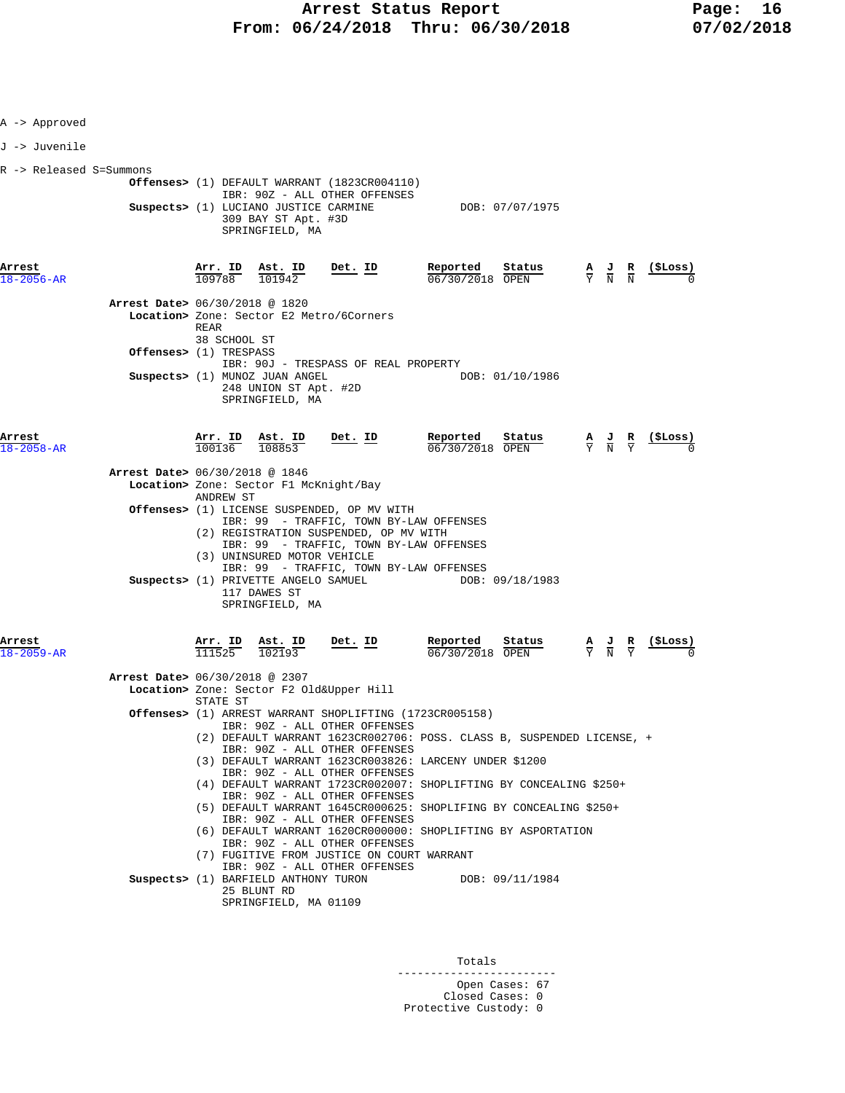| A -> Approved              |                                |                                |                                                                                 |                                                                                                                                                                                                                        |                                                                                                                                         |                 |                                                                                                 |                                                                                                 |                 |
|----------------------------|--------------------------------|--------------------------------|---------------------------------------------------------------------------------|------------------------------------------------------------------------------------------------------------------------------------------------------------------------------------------------------------------------|-----------------------------------------------------------------------------------------------------------------------------------------|-----------------|-------------------------------------------------------------------------------------------------|-------------------------------------------------------------------------------------------------|-----------------|
| J -> Juvenile              |                                |                                |                                                                                 |                                                                                                                                                                                                                        |                                                                                                                                         |                 |                                                                                                 |                                                                                                 |                 |
| R -> Released S=Summons    |                                |                                | Suspects> (1) LUCIANO JUSTICE CARMINE<br>309 BAY ST Apt. #3D<br>SPRINGFIELD, MA | <b>Offenses&gt;</b> (1) DEFAULT WARRANT (1823CR004110)<br>IBR: 90Z - ALL OTHER OFFENSES                                                                                                                                | DOB: 07/07/1975                                                                                                                         |                 |                                                                                                 |                                                                                                 |                 |
| Arrest<br>18-2056-AR       |                                | 109788                         | Arr. ID Ast. ID<br>101942                                                       | <u>Det. ID</u>                                                                                                                                                                                                         | Reported<br>06/30/2018 OPEN                                                                                                             | <u>Status</u>   | $\frac{\mathbf{A}}{\mathbf{Y}}$ $\frac{\mathbf{J}}{\mathbf{N}}$ $\frac{\mathbf{R}}{\mathbf{N}}$ |                                                                                                 | (\$Loss)        |
|                            | Arrest Date> 06/30/2018 @ 1820 | REAR<br>38 SCHOOL ST           |                                                                                 | Location> Zone: Sector E2 Metro/6Corners                                                                                                                                                                               |                                                                                                                                         |                 |                                                                                                 |                                                                                                 |                 |
|                            | Offenses> (1) TRESPASS         |                                | Suspects> (1) MUNOZ JUAN ANGEL<br>248 UNION ST Apt. #2D<br>SPRINGFIELD, MA      | IBR: 90J - TRESPASS OF REAL PROPERTY                                                                                                                                                                                   |                                                                                                                                         | DOB: 01/10/1986 |                                                                                                 |                                                                                                 |                 |
| Arrest<br>$18 - 2058 - AR$ |                                | $\frac{\texttt{Arr.}}{100136}$ | Ast. ID<br>108853                                                               | Det. ID                                                                                                                                                                                                                | Reported<br>06/30/2018 OPEN                                                                                                             | Status          |                                                                                                 | $\frac{A}{Y}$ $\frac{J}{N}$ $\frac{R}{Y}$                                                       | <u>(\$Loss)</u> |
|                            | Arrest Date> 06/30/2018 @ 1846 | ANDREW ST                      | Location> Zone: Sector F1 McKnight/Bay                                          |                                                                                                                                                                                                                        |                                                                                                                                         |                 |                                                                                                 |                                                                                                 |                 |
|                            |                                |                                | (3) UNINSURED MOTOR VEHICLE                                                     | Offenses> (1) LICENSE SUSPENDED, OP MV WITH<br>IBR: 99 - TRAFFIC, TOWN BY-LAW OFFENSES<br>(2) REGISTRATION SUSPENDED, OP MV WITH<br>IBR: 99 - TRAFFIC, TOWN BY-LAW OFFENSES<br>IBR: 99 - TRAFFIC, TOWN BY-LAW OFFENSES |                                                                                                                                         |                 |                                                                                                 |                                                                                                 |                 |
|                            |                                |                                | 117 DAWES ST<br>SPRINGFIELD, MA                                                 | Suspects> (1) PRIVETTE ANGELO SAMUEL                                                                                                                                                                                   |                                                                                                                                         | DOB: 09/18/1983 |                                                                                                 |                                                                                                 |                 |
| Arrest<br>18-2059-AR       |                                | Arr. ID<br>111525              | Ast. ID<br>102193                                                               | $Det$ . ID                                                                                                                                                                                                             | Reported<br>06/30/2018 OPEN                                                                                                             | Status          |                                                                                                 | $\frac{\mathbf{A}}{\mathbf{Y}}$ $\frac{\mathbf{J}}{\mathbf{N}}$ $\frac{\mathbf{R}}{\mathbf{Y}}$ |                 |
|                            | Arrest Date> 06/30/2018 @ 2307 | STATE ST                       |                                                                                 | Location> Zone: Sector F2 Old&Upper Hill                                                                                                                                                                               |                                                                                                                                         |                 |                                                                                                 |                                                                                                 |                 |
|                            |                                |                                |                                                                                 | IBR: 90Z - ALL OTHER OFFENSES                                                                                                                                                                                          | Offenses> (1) ARREST WARRANT SHOPLIFTING (1723CR005158)<br>(2) DEFAULT WARRANT 1623CR002706: POSS. CLASS B, SUSPENDED LICENSE, +        |                 |                                                                                                 |                                                                                                 |                 |
|                            |                                |                                |                                                                                 | IBR: 90Z - ALL OTHER OFFENSES<br>IBR: 90Z - ALL OTHER OFFENSES                                                                                                                                                         | (3) DEFAULT WARRANT 1623CR003826: LARCENY UNDER \$1200                                                                                  |                 |                                                                                                 |                                                                                                 |                 |
|                            |                                |                                |                                                                                 | IBR: 90Z - ALL OTHER OFFENSES                                                                                                                                                                                          | (4) DEFAULT WARRANT 1723CR002007: SHOPLIFTING BY CONCEALING \$250+<br>(5) DEFAULT WARRANT 1645CR000625: SHOPLIFING BY CONCEALING \$250+ |                 |                                                                                                 |                                                                                                 |                 |
|                            |                                |                                |                                                                                 | IBR: 90Z - ALL OTHER OFFENSES<br>IBR: 90Z - ALL OTHER OFFENSES                                                                                                                                                         | (6) DEFAULT WARRANT 1620CR000000: SHOPLIFTING BY ASPORTATION                                                                            |                 |                                                                                                 |                                                                                                 |                 |
|                            |                                |                                |                                                                                 | (7) FUGITIVE FROM JUSTICE ON COURT WARRANT<br>IBR: 90Z - ALL OTHER OFFENSES                                                                                                                                            |                                                                                                                                         |                 |                                                                                                 |                                                                                                 |                 |
|                            |                                |                                | Suspects> (1) BARFIELD ANTHONY TURON<br>25 BLUNT RD<br>SPRINGFIELD, MA 01109    |                                                                                                                                                                                                                        | DOB: 09/11/1984                                                                                                                         |                 |                                                                                                 |                                                                                                 |                 |
|                            |                                |                                |                                                                                 |                                                                                                                                                                                                                        |                                                                                                                                         |                 |                                                                                                 |                                                                                                 |                 |

Totals

------------------------ Open Cases: 67

 Closed Cases: 0 Protective Custody: 0